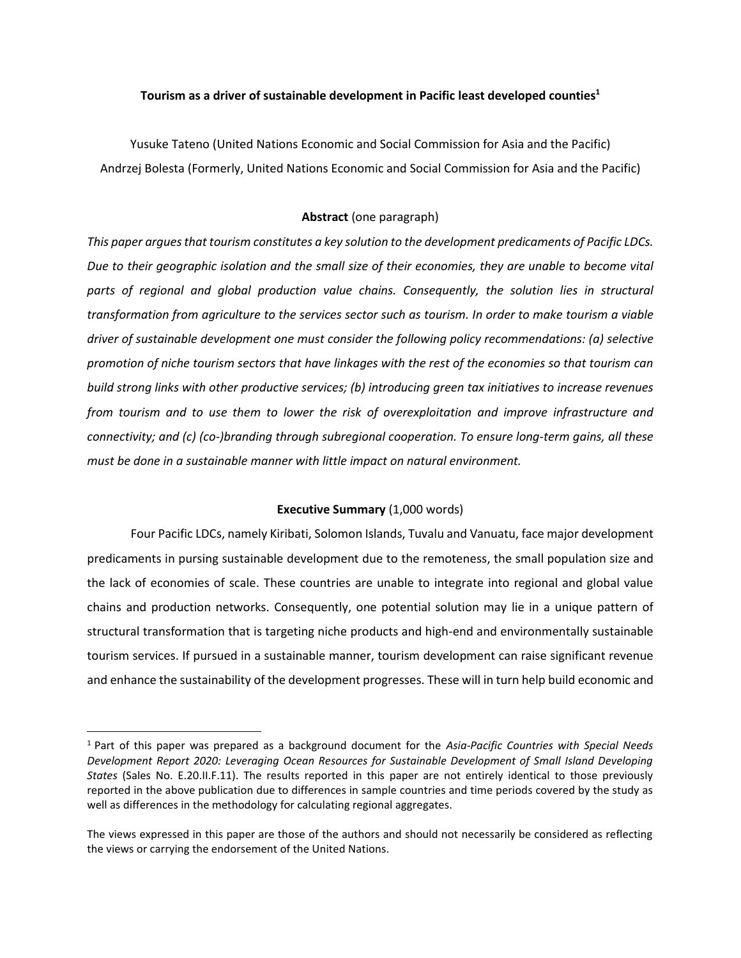# **Tourism as a driver of sustainable development in Pacific least developed counties<sup>1</sup>**

Yusuke Tateno (United Nations Economic and Social Commission for Asia and the Pacific) Andrzej Bolesta (Formerly, United Nations Economic and Social Commission for Asia and the Pacific)

# **Abstract** (one paragraph)

*This paper argues that tourism constitutes a key solution to the development predicaments of Pacific LDCs. Due to their geographic isolation and the small size of their economies, they are unable to become vital*  parts of regional and global production value chains. Consequently, the solution lies in structural *transformation from agriculture to the services sector such as tourism. In order to make tourism a viable driver of sustainable development one must consider the following policy recommendations: (a) selective promotion of niche tourism sectors that have linkages with the rest of the economies so that tourism can build strong links with other productive services; (b) introducing green tax initiatives to increase revenues from tourism and to use them to lower the risk of overexploitation and improve infrastructure and connectivity; and (c) (co-)branding through subregional cooperation. To ensure long-term gains, all these must be done in a sustainable manner with little impact on natural environment.* 

# **Executive Summary** (1,000 words)

Four Pacific LDCs, namely Kiribati, Solomon Islands, Tuvalu and Vanuatu, face major development predicaments in pursing sustainable development due to the remoteness, the small population size and the lack of economies of scale. These countries are unable to integrate into regional and global value chains and production networks. Consequently, one potential solution may lie in a unique pattern of structural transformation that is targeting niche products and high-end and environmentally sustainable tourism services. If pursued in a sustainable manner, tourism development can raise significant revenue and enhance the sustainability of the development progresses. These will in turn help build economic and

<sup>1</sup> Part of this paper was prepared as a background document for the *Asia-Pacific Countries with Special Needs Development Report 2020: Leveraging Ocean Resources for Sustainable Development of Small Island Developing States* (Sales No. E.20.II.F.11). The results reported in this paper are not entirely identical to those previously reported in the above publication due to differences in sample countries and time periods covered by the study as well as differences in the methodology for calculating regional aggregates.

The views expressed in this paper are those of the authors and should not necessarily be considered as reflecting the views or carrying the endorsement of the United Nations.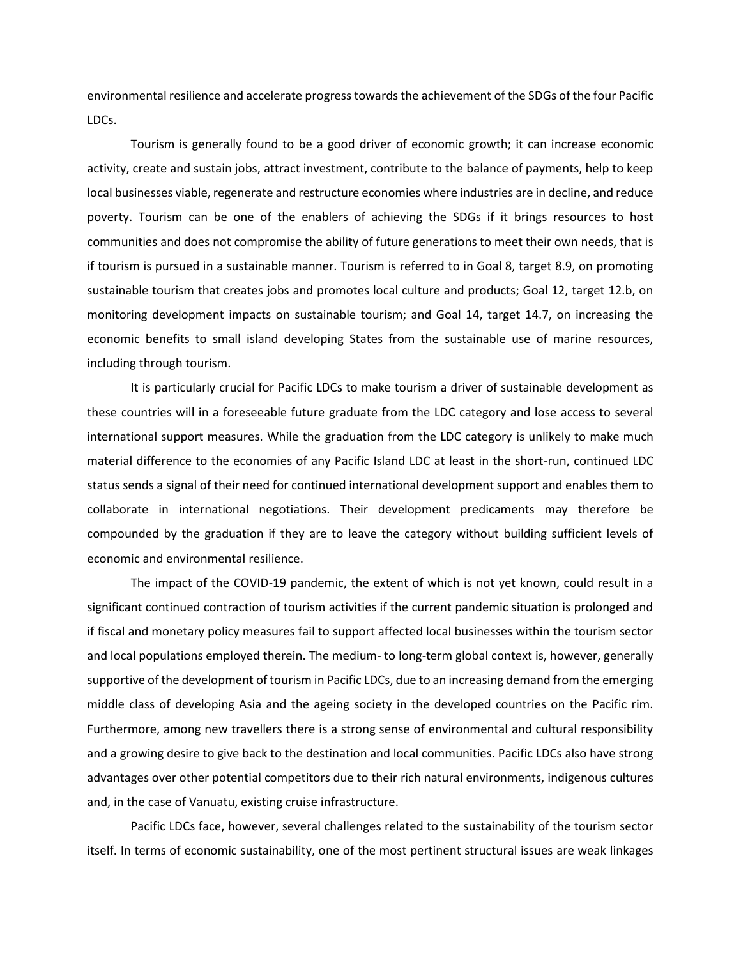environmental resilience and accelerate progress towards the achievement of the SDGs of the four Pacific LDCs.

Tourism is generally found to be a good driver of economic growth; it can increase economic activity, create and sustain jobs, attract investment, contribute to the balance of payments, help to keep local businesses viable, regenerate and restructure economies where industries are in decline, and reduce poverty. Tourism can be one of the enablers of achieving the SDGs if it brings resources to host communities and does not compromise the ability of future generations to meet their own needs, that is if tourism is pursued in a sustainable manner. Tourism is referred to in Goal 8, target 8.9, on promoting sustainable tourism that creates jobs and promotes local culture and products; Goal 12, target 12.b, on monitoring development impacts on sustainable tourism; and Goal 14, target 14.7, on increasing the economic benefits to small island developing States from the sustainable use of marine resources, including through tourism.

It is particularly crucial for Pacific LDCs to make tourism a driver of sustainable development as these countries will in a foreseeable future graduate from the LDC category and lose access to several international support measures. While the graduation from the LDC category is unlikely to make much material difference to the economies of any Pacific Island LDC at least in the short-run, continued LDC status sends a signal of their need for continued international development support and enables them to collaborate in international negotiations. Their development predicaments may therefore be compounded by the graduation if they are to leave the category without building sufficient levels of economic and environmental resilience.

The impact of the COVID-19 pandemic, the extent of which is not yet known, could result in a significant continued contraction of tourism activities if the current pandemic situation is prolonged and if fiscal and monetary policy measures fail to support affected local businesses within the tourism sector and local populations employed therein. The medium- to long-term global context is, however, generally supportive of the development of tourism in Pacific LDCs, due to an increasing demand from the emerging middle class of developing Asia and the ageing society in the developed countries on the Pacific rim. Furthermore, among new travellers there is a strong sense of environmental and cultural responsibility and a growing desire to give back to the destination and local communities. Pacific LDCs also have strong advantages over other potential competitors due to their rich natural environments, indigenous cultures and, in the case of Vanuatu, existing cruise infrastructure.

Pacific LDCs face, however, several challenges related to the sustainability of the tourism sector itself. In terms of economic sustainability, one of the most pertinent structural issues are weak linkages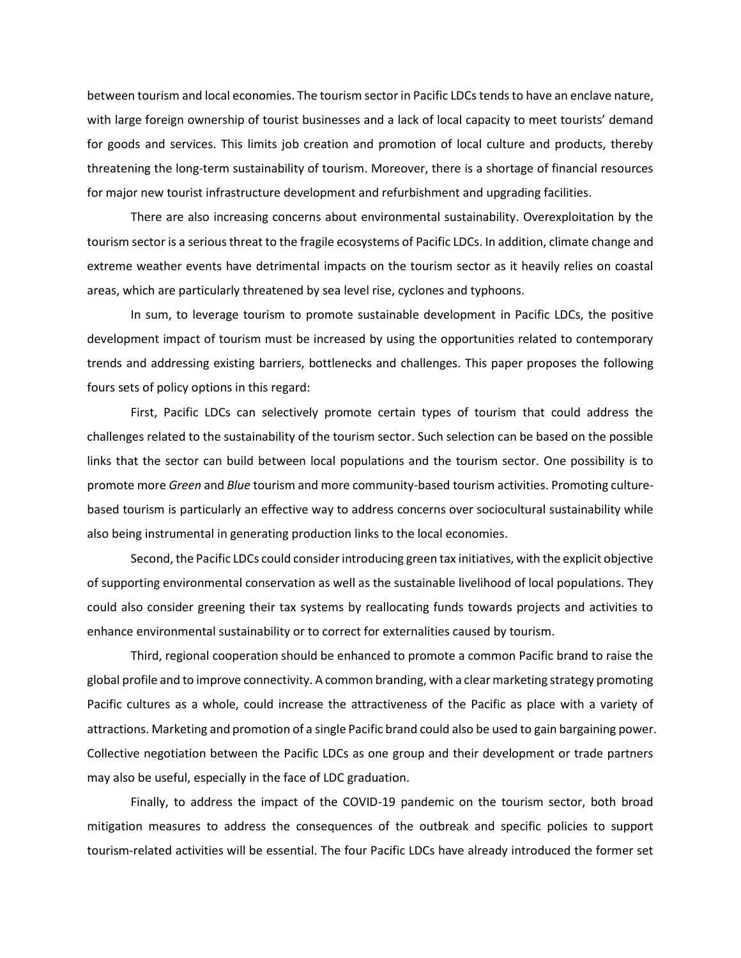between tourism and local economies. The tourism sector in Pacific LDCs tends to have an enclave nature, with large foreign ownership of tourist businesses and a lack of local capacity to meet tourists' demand for goods and services. This limits job creation and promotion of local culture and products, thereby threatening the long-term sustainability of tourism. Moreover, there is a shortage of financial resources for major new tourist infrastructure development and refurbishment and upgrading facilities.

There are also increasing concerns about environmental sustainability. Overexploitation by the tourism sector is a serious threat to the fragile ecosystems of Pacific LDCs. In addition, climate change and extreme weather events have detrimental impacts on the tourism sector as it heavily relies on coastal areas, which are particularly threatened by sea level rise, cyclones and typhoons.

In sum, to leverage tourism to promote sustainable development in Pacific LDCs, the positive development impact of tourism must be increased by using the opportunities related to contemporary trends and addressing existing barriers, bottlenecks and challenges. This paper proposes the following fours sets of policy options in this regard:

First, Pacific LDCs can selectively promote certain types of tourism that could address the challenges related to the sustainability of the tourism sector. Such selection can be based on the possible links that the sector can build between local populations and the tourism sector. One possibility is to promote more *Green* and *Blue* tourism and more community-based tourism activities. Promoting culturebased tourism is particularly an effective way to address concerns over sociocultural sustainability while also being instrumental in generating production links to the local economies.

Second, the Pacific LDCs could consider introducing green tax initiatives, with the explicit objective of supporting environmental conservation as well as the sustainable livelihood of local populations. They could also consider greening their tax systems by reallocating funds towards projects and activities to enhance environmental sustainability or to correct for externalities caused by tourism.

Third, regional cooperation should be enhanced to promote a common Pacific brand to raise the global profile and to improve connectivity. A common branding, with a clear marketing strategy promoting Pacific cultures as a whole, could increase the attractiveness of the Pacific as place with a variety of attractions. Marketing and promotion of a single Pacific brand could also be used to gain bargaining power. Collective negotiation between the Pacific LDCs as one group and their development or trade partners may also be useful, especially in the face of LDC graduation.

Finally, to address the impact of the COVID-19 pandemic on the tourism sector, both broad mitigation measures to address the consequences of the outbreak and specific policies to support tourism-related activities will be essential. The four Pacific LDCs have already introduced the former set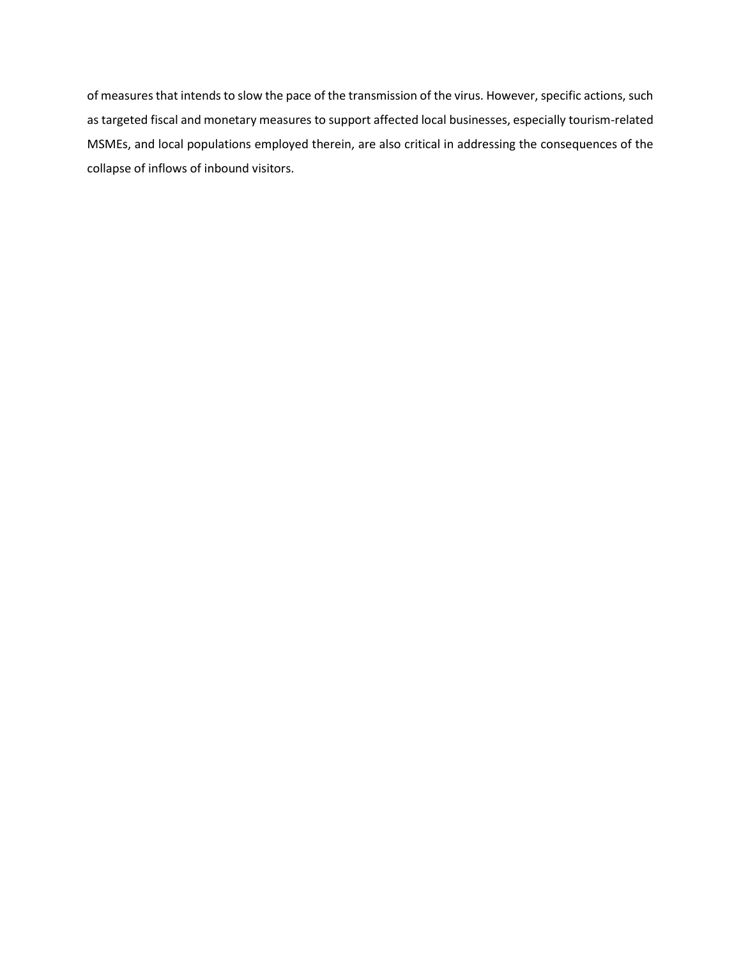of measures that intends to slow the pace of the transmission of the virus. However, specific actions, such as targeted fiscal and monetary measures to support affected local businesses, especially tourism-related MSMEs, and local populations employed therein, are also critical in addressing the consequences of the collapse of inflows of inbound visitors.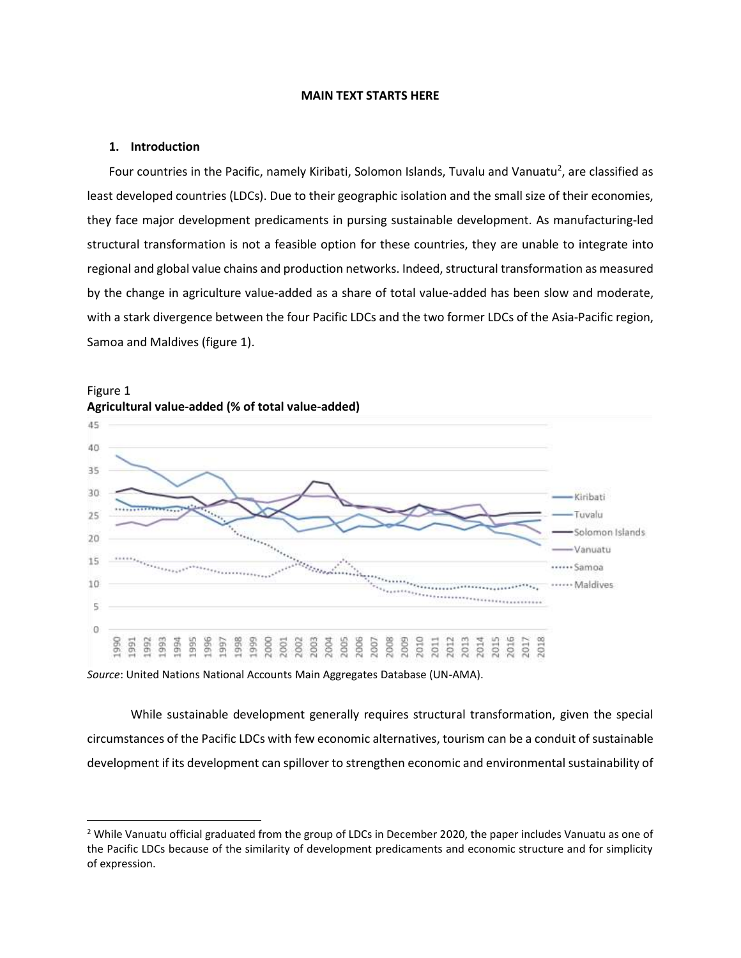#### **MAIN TEXT STARTS HERE**

## **1. Introduction**

Four countries in the Pacific, namely Kiribati, Solomon Islands, Tuvalu and Vanuatu<sup>2</sup>, are classified as least developed countries (LDCs). Due to their geographic isolation and the small size of their economies, they face major development predicaments in pursing sustainable development. As manufacturing-led structural transformation is not a feasible option for these countries, they are unable to integrate into regional and global value chains and production networks. Indeed, structural transformation as measured by the change in agriculture value-added as a share of total value-added has been slow and moderate, with a stark divergence between the four Pacific LDCs and the two former LDCs of the Asia-Pacific region, Samoa and Maldives (figure 1).





*Source*: United Nations National Accounts Main Aggregates Database (UN-AMA).

While sustainable development generally requires structural transformation, given the special circumstances of the Pacific LDCs with few economic alternatives, tourism can be a conduit of sustainable development if its development can spillover to strengthen economic and environmental sustainability of

<sup>&</sup>lt;sup>2</sup> While Vanuatu official graduated from the group of LDCs in December 2020, the paper includes Vanuatu as one of the Pacific LDCs because of the similarity of development predicaments and economic structure and for simplicity of expression.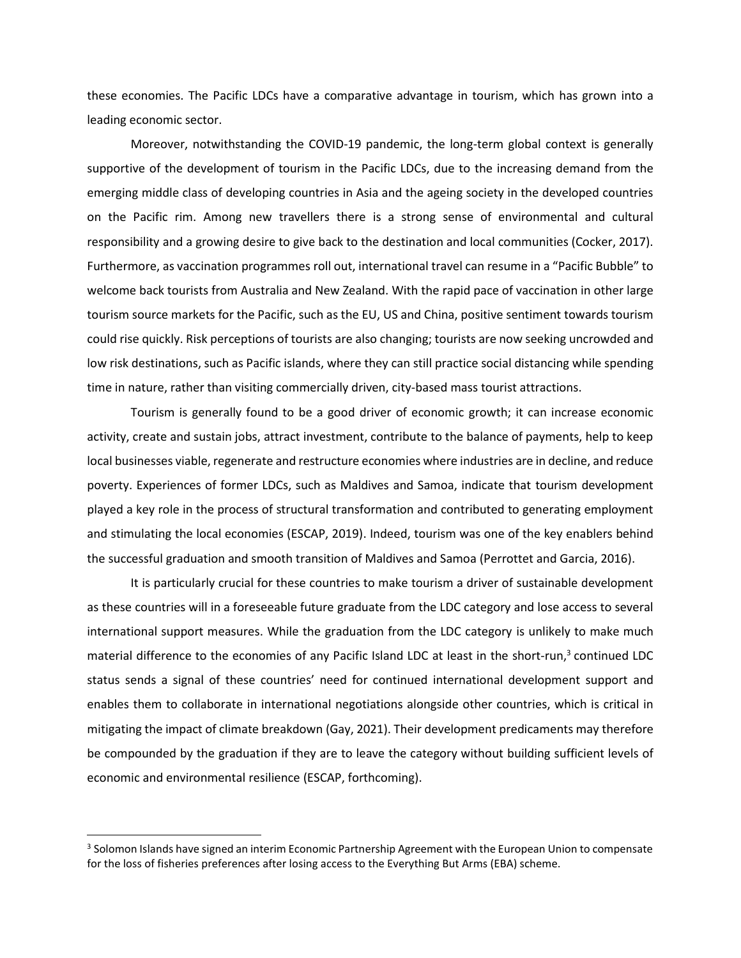these economies. The Pacific LDCs have a comparative advantage in tourism, which has grown into a leading economic sector.

Moreover, notwithstanding the COVID-19 pandemic, the long-term global context is generally supportive of the development of tourism in the Pacific LDCs, due to the increasing demand from the emerging middle class of developing countries in Asia and the ageing society in the developed countries on the Pacific rim. Among new travellers there is a strong sense of environmental and cultural responsibility and a growing desire to give back to the destination and local communities (Cocker, 2017). Furthermore, as vaccination programmes roll out, international travel can resume in a "Pacific Bubble" to welcome back tourists from Australia and New Zealand. With the rapid pace of vaccination in other large tourism source markets for the Pacific, such as the EU, US and China, positive sentiment towards tourism could rise quickly. Risk perceptions of tourists are also changing; tourists are now seeking uncrowded and low risk destinations, such as Pacific islands, where they can still practice social distancing while spending time in nature, rather than visiting commercially driven, city-based mass tourist attractions.

Tourism is generally found to be a good driver of economic growth; it can increase economic activity, create and sustain jobs, attract investment, contribute to the balance of payments, help to keep local businesses viable, regenerate and restructure economies where industries are in decline, and reduce poverty. Experiences of former LDCs, such as Maldives and Samoa, indicate that tourism development played a key role in the process of structural transformation and contributed to generating employment and stimulating the local economies (ESCAP, 2019). Indeed, tourism was one of the key enablers behind the successful graduation and smooth transition of Maldives and Samoa (Perrottet and Garcia, 2016).

It is particularly crucial for these countries to make tourism a driver of sustainable development as these countries will in a foreseeable future graduate from the LDC category and lose access to several international support measures. While the graduation from the LDC category is unlikely to make much material difference to the economies of any Pacific Island LDC at least in the short-run,<sup>3</sup> continued LDC status sends a signal of these countries' need for continued international development support and enables them to collaborate in international negotiations alongside other countries, which is critical in mitigating the impact of climate breakdown (Gay, 2021). Their development predicaments may therefore be compounded by the graduation if they are to leave the category without building sufficient levels of economic and environmental resilience (ESCAP, forthcoming).

 $3$  Solomon Islands have signed an interim Economic Partnership Agreement with the European Union to compensate for the loss of fisheries preferences after losing access to the Everything But Arms (EBA) scheme.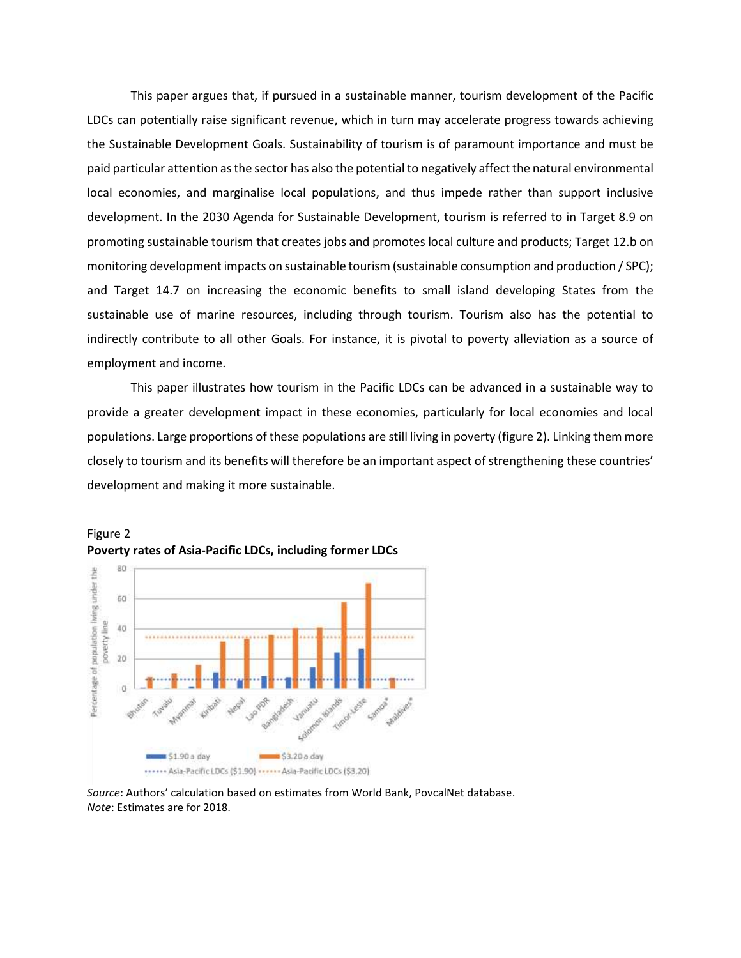This paper argues that, if pursued in a sustainable manner, tourism development of the Pacific LDCs can potentially raise significant revenue, which in turn may accelerate progress towards achieving the Sustainable Development Goals. Sustainability of tourism is of paramount importance and must be paid particular attention as the sector has also the potential to negatively affect the natural environmental local economies, and marginalise local populations, and thus impede rather than support inclusive development. In the 2030 Agenda for Sustainable Development, tourism is referred to in Target 8.9 on promoting sustainable tourism that creates jobs and promotes local culture and products; Target 12.b on monitoring development impacts on sustainable tourism (sustainable consumption and production / SPC); and Target 14.7 on increasing the economic benefits to small island developing States from the sustainable use of marine resources, including through tourism. Tourism also has the potential to indirectly contribute to all other Goals. For instance, it is pivotal to poverty alleviation as a source of employment and income.

This paper illustrates how tourism in the Pacific LDCs can be advanced in a sustainable way to provide a greater development impact in these economies, particularly for local economies and local populations. Large proportions of these populations are still living in poverty (figure 2). Linking them more closely to tourism and its benefits will therefore be an important aspect of strengthening these countries' development and making it more sustainable.





*Source*: Authors' calculation based on estimates from World Bank, PovcalNet database. *Note*: Estimates are for 2018.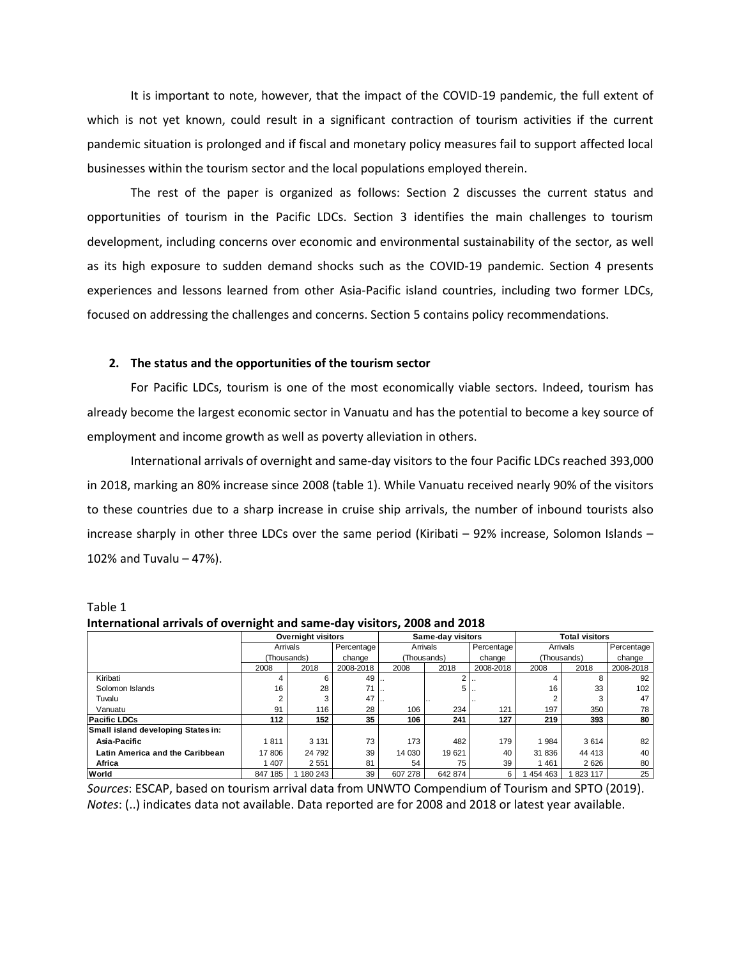It is important to note, however, that the impact of the COVID-19 pandemic, the full extent of which is not yet known, could result in a significant contraction of tourism activities if the current pandemic situation is prolonged and if fiscal and monetary policy measures fail to support affected local businesses within the tourism sector and the local populations employed therein.

The rest of the paper is organized as follows: Section 2 discusses the current status and opportunities of tourism in the Pacific LDCs. Section 3 identifies the main challenges to tourism development, including concerns over economic and environmental sustainability of the sector, as well as its high exposure to sudden demand shocks such as the COVID-19 pandemic. Section 4 presents experiences and lessons learned from other Asia-Pacific island countries, including two former LDCs, focused on addressing the challenges and concerns. Section 5 contains policy recommendations.

### **2. The status and the opportunities of the tourism sector**

For Pacific LDCs, tourism is one of the most economically viable sectors. Indeed, tourism has already become the largest economic sector in Vanuatu and has the potential to become a key source of employment and income growth as well as poverty alleviation in others.

International arrivals of overnight and same-day visitors to the four Pacific LDCs reached 393,000 in 2018, marking an 80% increase since 2008 (table 1). While Vanuatu received nearly 90% of the visitors to these countries due to a sharp increase in cruise ship arrivals, the number of inbound tourists also increase sharply in other three LDCs over the same period (Kiribati – 92% increase, Solomon Islands – 102% and Tuvalu – 47%).

| International arrivals of overnight and same-day visitors, 2008 and 2018 |                           |         |            |                   |         |            |                       |          |            |  |  |
|--------------------------------------------------------------------------|---------------------------|---------|------------|-------------------|---------|------------|-----------------------|----------|------------|--|--|
|                                                                          | <b>Overnight visitors</b> |         |            | Same-day visitors |         |            | <b>Total visitors</b> |          |            |  |  |
|                                                                          | Arrivals                  |         | Percentage | Arrivals          |         | Percentage |                       | Arrivals | Percentage |  |  |
|                                                                          | (Thousands)               |         | change     | (Thousands)       |         | change     | (Thousands)           |          | change     |  |  |
|                                                                          | 2008                      | 2018    | 2008-2018  | 2008              | 2018    | 2008-2018  | 2008                  | 2018     | 2008-2018  |  |  |
| Kiribati                                                                 |                           |         | 49         |                   |         |            |                       |          | 92         |  |  |
| Solomon Islands                                                          | 16                        | 28      | 71         |                   | 5       |            | 16                    | 33       | 102        |  |  |
| Tuvalu                                                                   |                           |         | 47         |                   |         |            |                       |          | 47         |  |  |
| Vanuatu                                                                  | 91                        | 116     | 28         | 106               | 234     | 121        | 197                   | 350      | 78         |  |  |
| <b>Pacific LDCs</b>                                                      | 112                       | 152     | 35         | 106               | 241     | 127        | 219                   | 393      | 80         |  |  |
| Small island developing States in:                                       |                           |         |            |                   |         |            |                       |          |            |  |  |
| Asia-Pacific                                                             | 1811                      | 3 1 3 1 | 73         | 173               | 482     | 179        | 1984                  | 3614     | 82         |  |  |
| Latin America and the Caribbean                                          | 17 806                    | 24 792  | 39         | 14 030            | 19621   | 40         | 31 836                | 44 413   | 40         |  |  |
| Africa                                                                   | 407                       | 2 5 5 1 | 81         | 54                | 75      | 39         | 1461                  | 2626     | 80         |  |  |
| World                                                                    | 847 185                   | 180 243 | 39         | 607 278           | 642 874 | 6          | 454 463               | 1823 117 | 25         |  |  |

Table 1 **International arrivals of overnight and same-day visitors, 2008 and 2018**

*Sources*: ESCAP, based on tourism arrival data from UNWTO Compendium of Tourism and SPTO (2019). *Notes*: (..) indicates data not available. Data reported are for 2008 and 2018 or latest year available.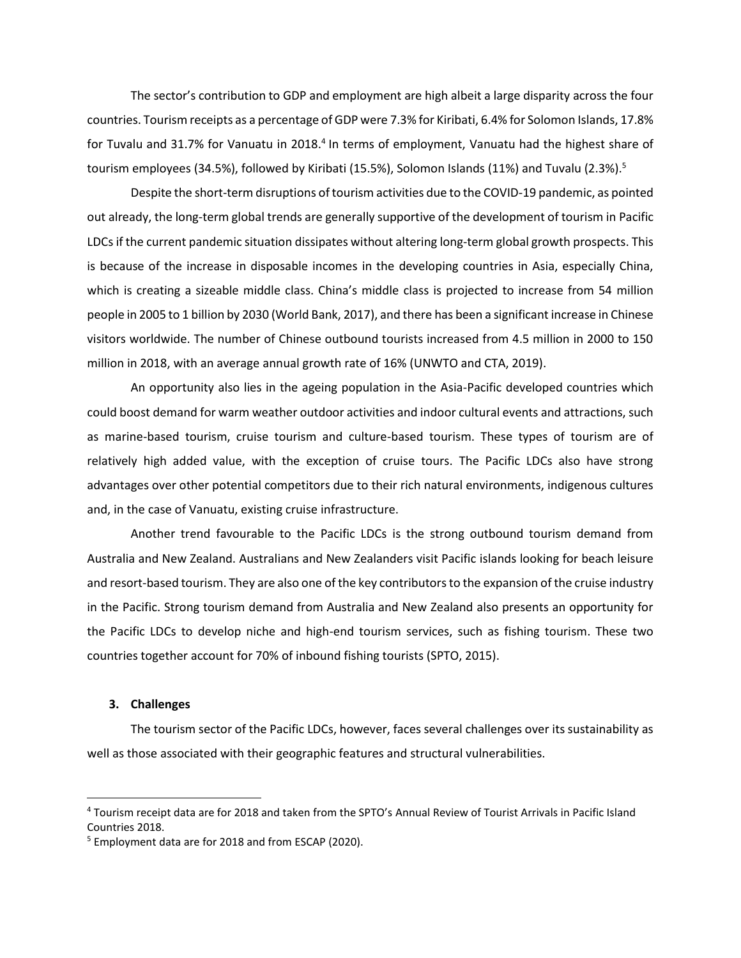The sector's contribution to GDP and employment are high albeit a large disparity across the four countries. Tourism receipts as a percentage of GDP were 7.3% for Kiribati, 6.4% for Solomon Islands, 17.8% for Tuvalu and 31.7% for Vanuatu in 2018.<sup>4</sup> In terms of employment, Vanuatu had the highest share of tourism employees (34.5%), followed by Kiribati (15.5%), Solomon Islands (11%) and Tuvalu (2.3%).<sup>5</sup>

Despite the short-term disruptions of tourism activities due to the COVID-19 pandemic, as pointed out already, the long-term global trends are generally supportive of the development of tourism in Pacific LDCs if the current pandemic situation dissipates without altering long-term global growth prospects. This is because of the increase in disposable incomes in the developing countries in Asia, especially China, which is creating a sizeable middle class. China's middle class is projected to increase from 54 million people in 2005 to 1 billion by 2030 (World Bank, 2017), and there has been a significant increase in Chinese visitors worldwide. The number of Chinese outbound tourists increased from 4.5 million in 2000 to 150 million in 2018, with an average annual growth rate of 16% (UNWTO and CTA, 2019).

An opportunity also lies in the ageing population in the Asia-Pacific developed countries which could boost demand for warm weather outdoor activities and indoor cultural events and attractions, such as marine-based tourism, cruise tourism and culture-based tourism. These types of tourism are of relatively high added value, with the exception of cruise tours. The Pacific LDCs also have strong advantages over other potential competitors due to their rich natural environments, indigenous cultures and, in the case of Vanuatu, existing cruise infrastructure.

Another trend favourable to the Pacific LDCs is the strong outbound tourism demand from Australia and New Zealand. Australians and New Zealanders visit Pacific islands looking for beach leisure and resort-based tourism. They are also one of the key contributors to the expansion of the cruise industry in the Pacific. Strong tourism demand from Australia and New Zealand also presents an opportunity for the Pacific LDCs to develop niche and high-end tourism services, such as fishing tourism. These two countries together account for 70% of inbound fishing tourists (SPTO, 2015).

# **3. Challenges**

The tourism sector of the Pacific LDCs, however, faces several challenges over its sustainability as well as those associated with their geographic features and structural vulnerabilities.

<sup>4</sup> Tourism receipt data are for 2018 and taken from the SPTO's Annual Review of Tourist Arrivals in Pacific Island Countries 2018.

<sup>5</sup> Employment data are for 2018 and from ESCAP (2020).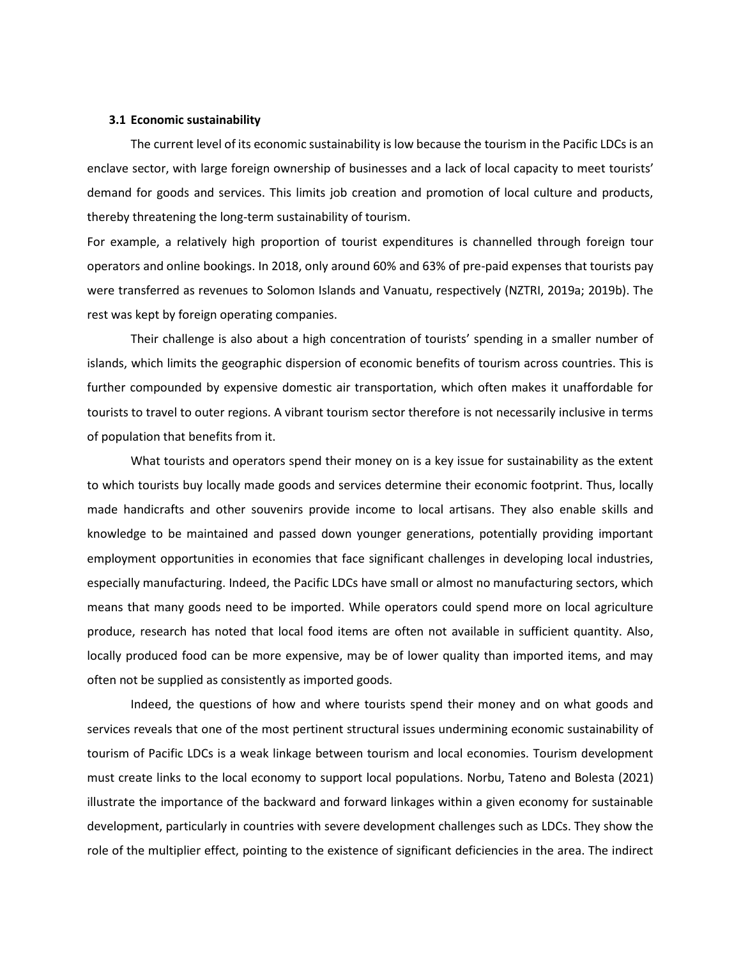### **3.1 Economic sustainability**

The current level of its economic sustainability is low because the tourism in the Pacific LDCs is an enclave sector, with large foreign ownership of businesses and a lack of local capacity to meet tourists' demand for goods and services. This limits job creation and promotion of local culture and products, thereby threatening the long-term sustainability of tourism.

For example, a relatively high proportion of tourist expenditures is channelled through foreign tour operators and online bookings. In 2018, only around 60% and 63% of pre-paid expenses that tourists pay were transferred as revenues to Solomon Islands and Vanuatu, respectively (NZTRI, 2019a; 2019b). The rest was kept by foreign operating companies.

Their challenge is also about a high concentration of tourists' spending in a smaller number of islands, which limits the geographic dispersion of economic benefits of tourism across countries. This is further compounded by expensive domestic air transportation, which often makes it unaffordable for tourists to travel to outer regions. A vibrant tourism sector therefore is not necessarily inclusive in terms of population that benefits from it.

What tourists and operators spend their money on is a key issue for sustainability as the extent to which tourists buy locally made goods and services determine their economic footprint. Thus, locally made handicrafts and other souvenirs provide income to local artisans. They also enable skills and knowledge to be maintained and passed down younger generations, potentially providing important employment opportunities in economies that face significant challenges in developing local industries, especially manufacturing. Indeed, the Pacific LDCs have small or almost no manufacturing sectors, which means that many goods need to be imported. While operators could spend more on local agriculture produce, research has noted that local food items are often not available in sufficient quantity. Also, locally produced food can be more expensive, may be of lower quality than imported items, and may often not be supplied as consistently as imported goods.

Indeed, the questions of how and where tourists spend their money and on what goods and services reveals that one of the most pertinent structural issues undermining economic sustainability of tourism of Pacific LDCs is a weak linkage between tourism and local economies. Tourism development must create links to the local economy to support local populations. Norbu, Tateno and Bolesta (2021) illustrate the importance of the backward and forward linkages within a given economy for sustainable development, particularly in countries with severe development challenges such as LDCs. They show the role of the multiplier effect, pointing to the existence of significant deficiencies in the area. The indirect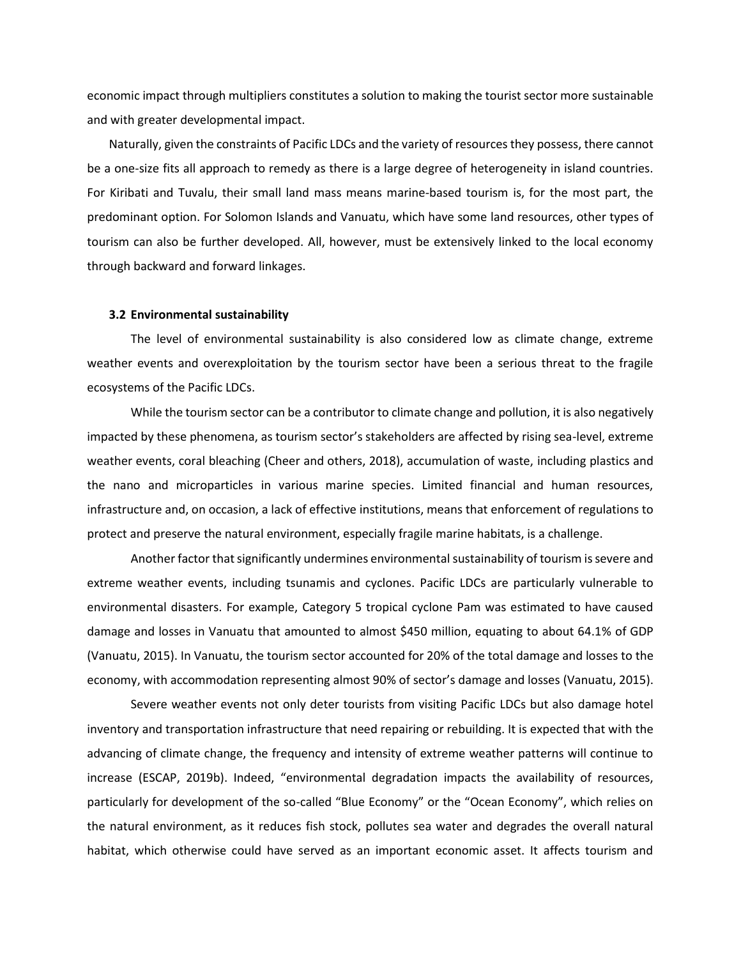economic impact through multipliers constitutes a solution to making the tourist sector more sustainable and with greater developmental impact.

Naturally, given the constraints of Pacific LDCs and the variety of resources they possess, there cannot be a one-size fits all approach to remedy as there is a large degree of heterogeneity in island countries. For Kiribati and Tuvalu, their small land mass means marine-based tourism is, for the most part, the predominant option. For Solomon Islands and Vanuatu, which have some land resources, other types of tourism can also be further developed. All, however, must be extensively linked to the local economy through backward and forward linkages.

### **3.2 Environmental sustainability**

The level of environmental sustainability is also considered low as climate change, extreme weather events and overexploitation by the tourism sector have been a serious threat to the fragile ecosystems of the Pacific LDCs.

While the tourism sector can be a contributor to climate change and pollution, it is also negatively impacted by these phenomena, as tourism sector's stakeholders are affected by rising sea-level, extreme weather events, coral bleaching (Cheer and others, 2018), accumulation of waste, including plastics and the nano and microparticles in various marine species. Limited financial and human resources, infrastructure and, on occasion, a lack of effective institutions, means that enforcement of regulations to protect and preserve the natural environment, especially fragile marine habitats, is a challenge.

Another factor that significantly undermines environmental sustainability of tourism is severe and extreme weather events, including tsunamis and cyclones. Pacific LDCs are particularly vulnerable to environmental disasters. For example, Category 5 tropical cyclone Pam was estimated to have caused damage and losses in Vanuatu that amounted to almost \$450 million, equating to about 64.1% of GDP (Vanuatu, 2015). In Vanuatu, the tourism sector accounted for 20% of the total damage and losses to the economy, with accommodation representing almost 90% of sector's damage and losses (Vanuatu, 2015).

Severe weather events not only deter tourists from visiting Pacific LDCs but also damage hotel inventory and transportation infrastructure that need repairing or rebuilding. It is expected that with the advancing of climate change, the frequency and intensity of extreme weather patterns will continue to increase (ESCAP, 2019b). Indeed, "environmental degradation impacts the availability of resources, particularly for development of the so-called "Blue Economy" or the "Ocean Economy", which relies on the natural environment, as it reduces fish stock, pollutes sea water and degrades the overall natural habitat, which otherwise could have served as an important economic asset. It affects tourism and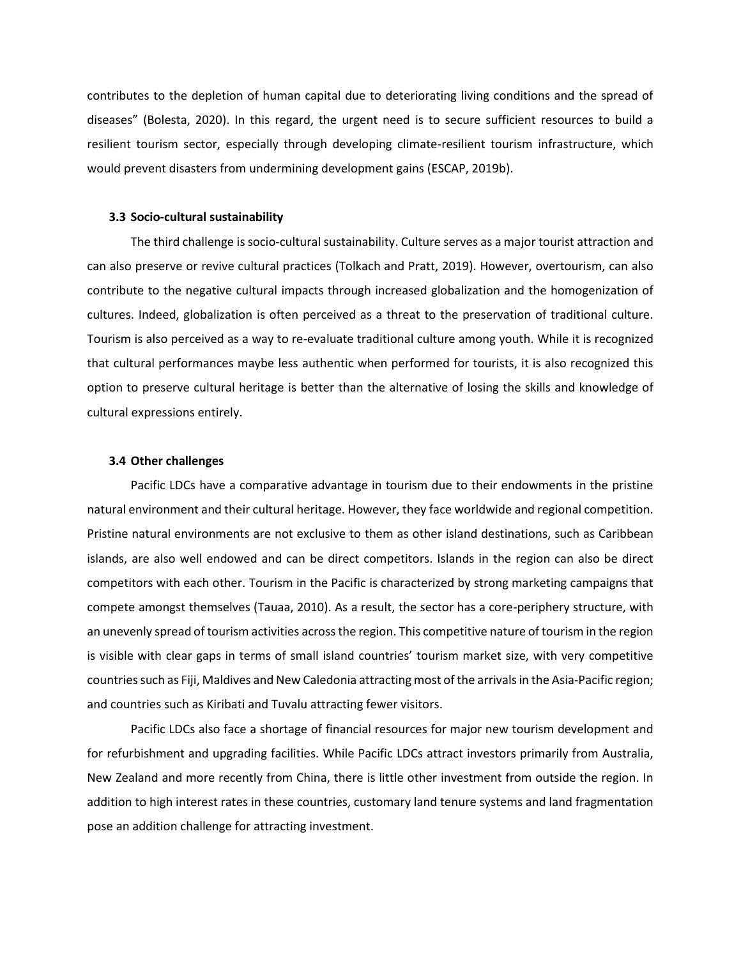contributes to the depletion of human capital due to deteriorating living conditions and the spread of diseases" (Bolesta, 2020). In this regard, the urgent need is to secure sufficient resources to build a resilient tourism sector, especially through developing climate-resilient tourism infrastructure, which would prevent disasters from undermining development gains (ESCAP, 2019b).

#### **3.3 Socio-cultural sustainability**

The third challenge is socio-cultural sustainability. Culture serves as a major tourist attraction and can also preserve or revive cultural practices (Tolkach and Pratt, 2019). However, overtourism, can also contribute to the negative cultural impacts through increased globalization and the homogenization of cultures. Indeed, globalization is often perceived as a threat to the preservation of traditional culture. Tourism is also perceived as a way to re-evaluate traditional culture among youth. While it is recognized that cultural performances maybe less authentic when performed for tourists, it is also recognized this option to preserve cultural heritage is better than the alternative of losing the skills and knowledge of cultural expressions entirely.

## **3.4 Other challenges**

Pacific LDCs have a comparative advantage in tourism due to their endowments in the pristine natural environment and their cultural heritage. However, they face worldwide and regional competition. Pristine natural environments are not exclusive to them as other island destinations, such as Caribbean islands, are also well endowed and can be direct competitors. Islands in the region can also be direct competitors with each other. Tourism in the Pacific is characterized by strong marketing campaigns that compete amongst themselves (Tauaa, 2010). As a result, the sector has a core-periphery structure, with an unevenly spread of tourism activities across the region. This competitive nature of tourism in the region is visible with clear gaps in terms of small island countries' tourism market size, with very competitive countries such as Fiji, Maldives and New Caledonia attracting most of the arrivals in the Asia-Pacific region; and countries such as Kiribati and Tuvalu attracting fewer visitors.

Pacific LDCs also face a shortage of financial resources for major new tourism development and for refurbishment and upgrading facilities. While Pacific LDCs attract investors primarily from Australia, New Zealand and more recently from China, there is little other investment from outside the region. In addition to high interest rates in these countries, customary land tenure systems and land fragmentation pose an addition challenge for attracting investment.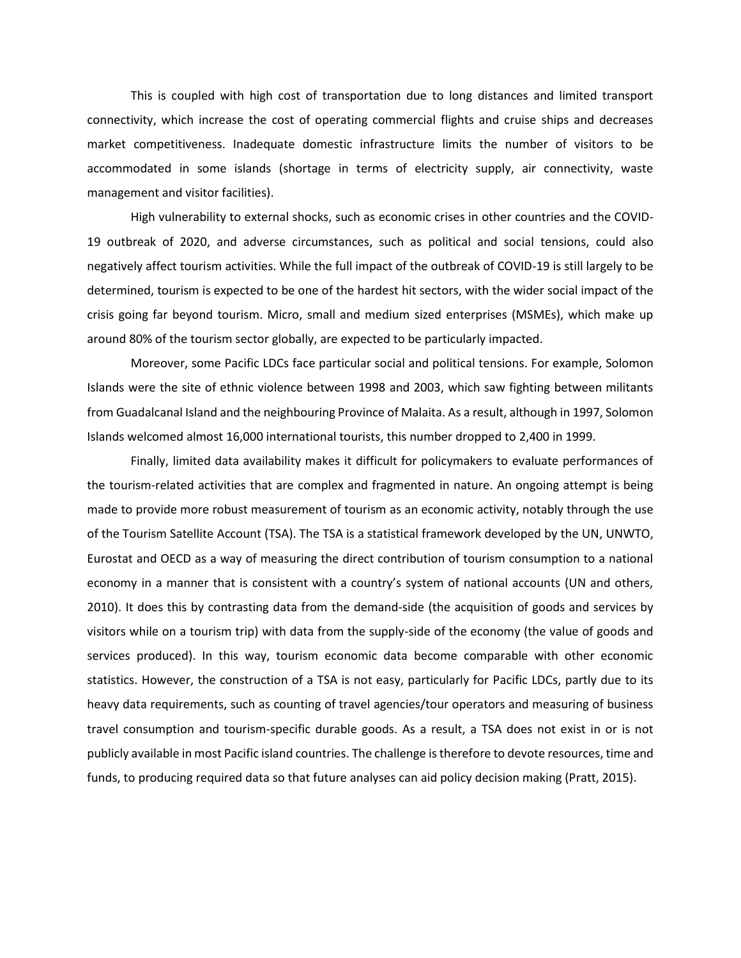This is coupled with high cost of transportation due to long distances and limited transport connectivity, which increase the cost of operating commercial flights and cruise ships and decreases market competitiveness. Inadequate domestic infrastructure limits the number of visitors to be accommodated in some islands (shortage in terms of electricity supply, air connectivity, waste management and visitor facilities).

High vulnerability to external shocks, such as economic crises in other countries and the COVID-19 outbreak of 2020, and adverse circumstances, such as political and social tensions, could also negatively affect tourism activities. While the full impact of the outbreak of COVID-19 is still largely to be determined, tourism is expected to be one of the hardest hit sectors, with the wider social impact of the crisis going far beyond tourism. Micro, small and medium sized enterprises (MSMEs), which make up around 80% of the tourism sector globally, are expected to be particularly impacted.

Moreover, some Pacific LDCs face particular social and political tensions. For example, Solomon Islands were the site of ethnic violence between 1998 and 2003, which saw fighting between militants from Guadalcanal Island and the neighbouring Province of Malaita. As a result, although in 1997, Solomon Islands welcomed almost 16,000 international tourists, this number dropped to 2,400 in 1999.

Finally, limited data availability makes it difficult for policymakers to evaluate performances of the tourism-related activities that are complex and fragmented in nature. An ongoing attempt is being made to provide more robust measurement of tourism as an economic activity, notably through the use of the Tourism Satellite Account (TSA). The TSA is a statistical framework developed by the UN, UNWTO, Eurostat and OECD as a way of measuring the direct contribution of tourism consumption to a national economy in a manner that is consistent with a country's system of national accounts (UN and others, 2010). It does this by contrasting data from the demand-side (the acquisition of goods and services by visitors while on a tourism trip) with data from the supply-side of the economy (the value of goods and services produced). In this way, tourism economic data become comparable with other economic statistics. However, the construction of a TSA is not easy, particularly for Pacific LDCs, partly due to its heavy data requirements, such as counting of travel agencies/tour operators and measuring of business travel consumption and tourism-specific durable goods. As a result, a TSA does not exist in or is not publicly available in most Pacific island countries. The challenge is therefore to devote resources, time and funds, to producing required data so that future analyses can aid policy decision making (Pratt, 2015).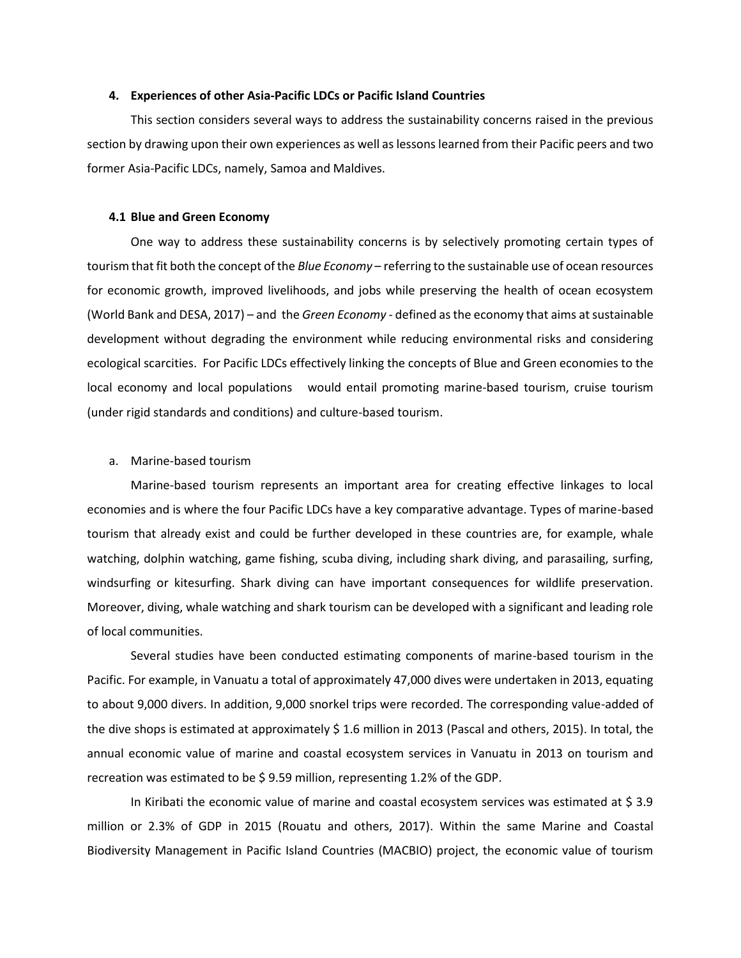#### **4. Experiences of other Asia-Pacific LDCs or Pacific Island Countries**

This section considers several ways to address the sustainability concerns raised in the previous section by drawing upon their own experiences as well as lessons learned from their Pacific peers and two former Asia-Pacific LDCs, namely, Samoa and Maldives.

#### **4.1 Blue and Green Economy**

One way to address these sustainability concerns is by selectively promoting certain types of tourism that fit both the concept of the *Blue Economy* – referring to the sustainable use of ocean resources for economic growth, improved livelihoods, and jobs while preserving the health of ocean ecosystem (World Bank and DESA, 2017) – and the *Green Economy* - defined as the economy that aims at sustainable development without degrading the environment while reducing environmental risks and considering ecological scarcities. For Pacific LDCs effectively linking the concepts of Blue and Green economies to the local economy and local populations would entail promoting marine-based tourism, cruise tourism (under rigid standards and conditions) and culture-based tourism.

## a. Marine-based tourism

Marine-based tourism represents an important area for creating effective linkages to local economies and is where the four Pacific LDCs have a key comparative advantage. Types of marine-based tourism that already exist and could be further developed in these countries are, for example, whale watching, dolphin watching, game fishing, scuba diving, including shark diving, and parasailing, surfing, windsurfing or kitesurfing. Shark diving can have important consequences for wildlife preservation. Moreover, diving, whale watching and shark tourism can be developed with a significant and leading role of local communities.

Several studies have been conducted estimating components of marine-based tourism in the Pacific. For example, in Vanuatu a total of approximately 47,000 dives were undertaken in 2013, equating to about 9,000 divers. In addition, 9,000 snorkel trips were recorded. The corresponding value-added of the dive shops is estimated at approximately \$ 1.6 million in 2013 (Pascal and others, 2015). In total, the annual economic value of marine and coastal ecosystem services in Vanuatu in 2013 on tourism and recreation was estimated to be \$ 9.59 million, representing 1.2% of the GDP.

In Kiribati the economic value of marine and coastal ecosystem services was estimated at \$ 3.9 million or 2.3% of GDP in 2015 (Rouatu and others, 2017). Within the same Marine and Coastal Biodiversity Management in Pacific Island Countries (MACBIO) project, the economic value of tourism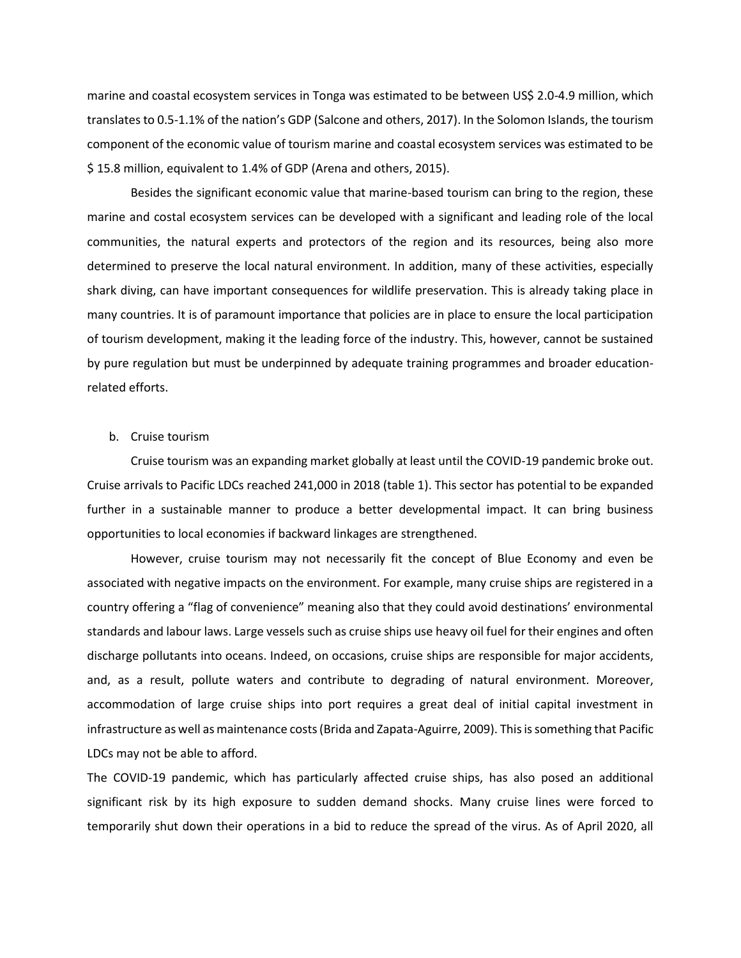marine and coastal ecosystem services in Tonga was estimated to be between US\$ 2.0-4.9 million, which translates to 0.5-1.1% of the nation's GDP (Salcone and others, 2017). In the Solomon Islands, the tourism component of the economic value of tourism marine and coastal ecosystem services was estimated to be \$ 15.8 million, equivalent to 1.4% of GDP (Arena and others, 2015).

Besides the significant economic value that marine-based tourism can bring to the region, these marine and costal ecosystem services can be developed with a significant and leading role of the local communities, the natural experts and protectors of the region and its resources, being also more determined to preserve the local natural environment. In addition, many of these activities, especially shark diving, can have important consequences for wildlife preservation. This is already taking place in many countries. It is of paramount importance that policies are in place to ensure the local participation of tourism development, making it the leading force of the industry. This, however, cannot be sustained by pure regulation but must be underpinned by adequate training programmes and broader educationrelated efforts.

#### b. Cruise tourism

Cruise tourism was an expanding market globally at least until the COVID-19 pandemic broke out. Cruise arrivals to Pacific LDCs reached 241,000 in 2018 (table 1). This sector has potential to be expanded further in a sustainable manner to produce a better developmental impact. It can bring business opportunities to local economies if backward linkages are strengthened.

However, cruise tourism may not necessarily fit the concept of Blue Economy and even be associated with negative impacts on the environment. For example, many cruise ships are registered in a country offering a "flag of convenience" meaning also that they could avoid destinations' environmental standards and labour laws. Large vessels such as cruise ships use heavy oil fuel for their engines and often discharge pollutants into oceans. Indeed, on occasions, cruise ships are responsible for major accidents, and, as a result, pollute waters and contribute to degrading of natural environment. Moreover, accommodation of large cruise ships into port requires a great deal of initial capital investment in infrastructure as well as maintenance costs (Brida and Zapata-Aguirre, 2009). This is something that Pacific LDCs may not be able to afford.

The COVID-19 pandemic, which has particularly affected cruise ships, has also posed an additional significant risk by its high exposure to sudden demand shocks. Many cruise lines were forced to temporarily shut down their operations in a bid to reduce the spread of the virus. As of April 2020, all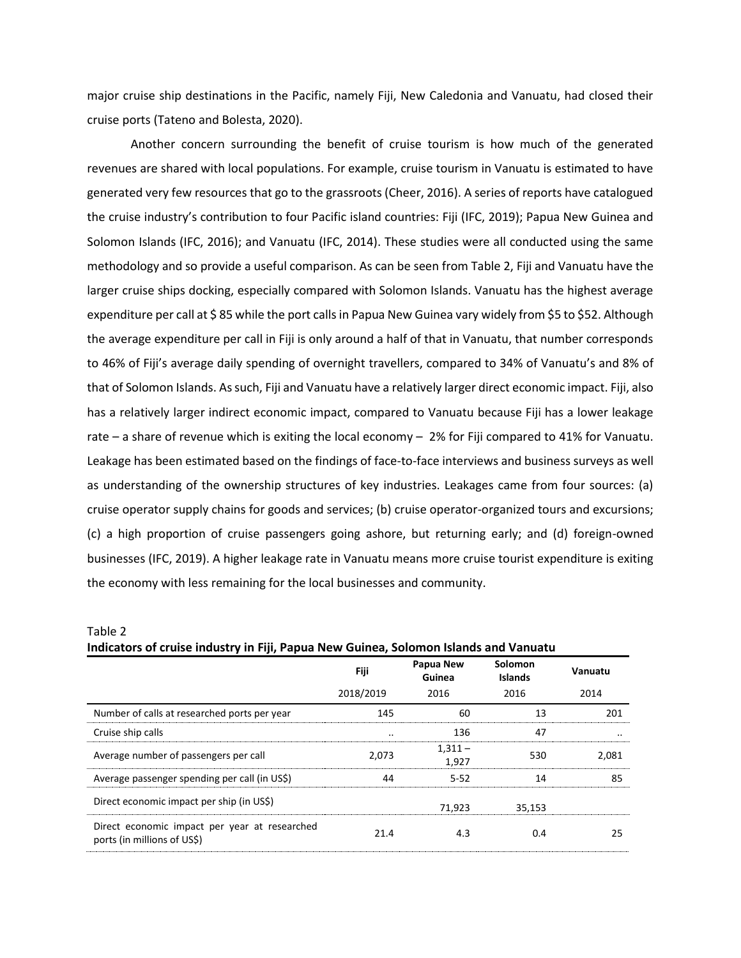major cruise ship destinations in the Pacific, namely Fiji, New Caledonia and Vanuatu, had closed their cruise ports (Tateno and Bolesta, 2020).

Another concern surrounding the benefit of cruise tourism is how much of the generated revenues are shared with local populations. For example, cruise tourism in Vanuatu is estimated to have generated very few resources that go to the grassroots (Cheer, 2016). A series of reports have catalogued the cruise industry's contribution to four Pacific island countries: Fiji (IFC, 2019); Papua New Guinea and Solomon Islands (IFC, 2016); and Vanuatu (IFC, 2014). These studies were all conducted using the same methodology and so provide a useful comparison. As can be seen from Table 2, Fiji and Vanuatu have the larger cruise ships docking, especially compared with Solomon Islands. Vanuatu has the highest average expenditure per call at \$85 while the port calls in Papua New Guinea vary widely from \$5 to \$52. Although the average expenditure per call in Fiji is only around a half of that in Vanuatu, that number corresponds to 46% of Fiji's average daily spending of overnight travellers, compared to 34% of Vanuatu's and 8% of that of Solomon Islands. As such, Fiji and Vanuatu have a relatively larger direct economic impact. Fiji, also has a relatively larger indirect economic impact, compared to Vanuatu because Fiji has a lower leakage rate – a share of revenue which is exiting the local economy – 2% for Fiji compared to 41% for Vanuatu. Leakage has been estimated based on the findings of face-to-face interviews and business surveys as well as understanding of the ownership structures of key industries. Leakages came from four sources: (a) cruise operator supply chains for goods and services; (b) cruise operator-organized tours and excursions; (c) a high proportion of cruise passengers going ashore, but returning early; and (d) foreign-owned businesses (IFC, 2019). A higher leakage rate in Vanuatu means more cruise tourist expenditure is exiting the economy with less remaining for the local businesses and community.

| indicators of cruise industry in Fiji, Papua New Guinea, Solomon Islands and Vanuatu |           |                     |                           |         |  |  |
|--------------------------------------------------------------------------------------|-----------|---------------------|---------------------------|---------|--|--|
|                                                                                      | Fiji      | Papua New<br>Guinea | Solomon<br><b>Islands</b> | Vanuatu |  |  |
|                                                                                      | 2018/2019 | 2016                | 2016                      | 2014    |  |  |
| Number of calls at researched ports per year                                         | 145       | 60                  | 13                        | 201     |  |  |
| Cruise ship calls                                                                    |           | 136                 | 47                        |         |  |  |
| Average number of passengers per call                                                | 2,073     | $1,311-$<br>1.927   | 530                       | 2,081   |  |  |
| Average passenger spending per call (in US\$)                                        | 44        | $5 - 52$            | 14                        | 85      |  |  |
| Direct economic impact per ship (in US\$)                                            |           | 71,923              | 35,153                    |         |  |  |
| Direct economic impact per year at researched<br>ports (in millions of US\$)         | 21.4      | 4.3                 | 0.4                       | 25      |  |  |

Table 2

**Indicators of cruise industry in Fiji, Papua New Guinea, Solomon Islands and Vanuatu**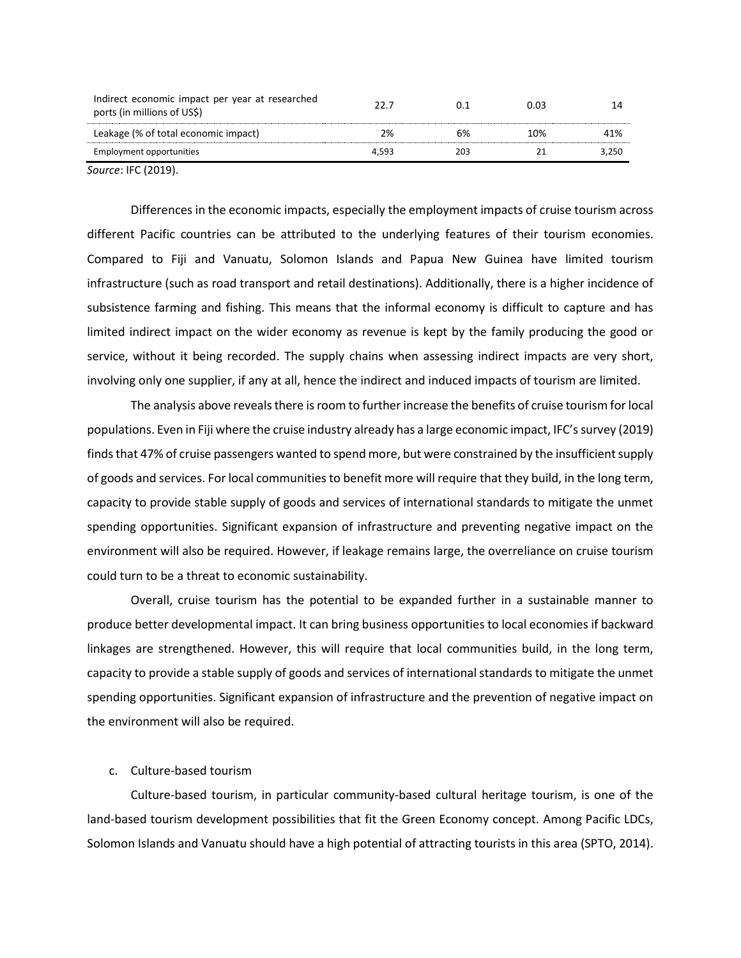| Indirect economic impact per year at researched<br>ports (in millions of US\$) | 22 J  |     | 0.03 |       |
|--------------------------------------------------------------------------------|-------|-----|------|-------|
| Leakage (% of total economic impact)                                           | 2%    | 6%  | 10%  | 41%   |
| Employment opportunities                                                       | 4.593 | 203 |      | 3.250 |
|                                                                                |       |     |      |       |

*Source*: IFC (2019).

Differences in the economic impacts, especially the employment impacts of cruise tourism across different Pacific countries can be attributed to the underlying features of their tourism economies. Compared to Fiji and Vanuatu, Solomon Islands and Papua New Guinea have limited tourism infrastructure (such as road transport and retail destinations). Additionally, there is a higher incidence of subsistence farming and fishing. This means that the informal economy is difficult to capture and has limited indirect impact on the wider economy as revenue is kept by the family producing the good or service, without it being recorded. The supply chains when assessing indirect impacts are very short, involving only one supplier, if any at all, hence the indirect and induced impacts of tourism are limited.

The analysis above reveals there is room to further increase the benefits of cruise tourism for local populations. Even in Fiji where the cruise industry already has a large economic impact, IFC's survey (2019) finds that 47% of cruise passengers wanted to spend more, but were constrained by the insufficient supply of goods and services. For local communities to benefit more will require that they build, in the long term, capacity to provide stable supply of goods and services of international standards to mitigate the unmet spending opportunities. Significant expansion of infrastructure and preventing negative impact on the environment will also be required. However, if leakage remains large, the overreliance on cruise tourism could turn to be a threat to economic sustainability.

Overall, cruise tourism has the potential to be expanded further in a sustainable manner to produce better developmental impact. It can bring business opportunities to local economies if backward linkages are strengthened. However, this will require that local communities build, in the long term, capacity to provide a stable supply of goods and services of international standards to mitigate the unmet spending opportunities. Significant expansion of infrastructure and the prevention of negative impact on the environment will also be required.

# c. Culture-based tourism

Culture-based tourism, in particular community-based cultural heritage tourism, is one of the land-based tourism development possibilities that fit the Green Economy concept. Among Pacific LDCs, Solomon Islands and Vanuatu should have a high potential of attracting tourists in this area (SPTO, 2014).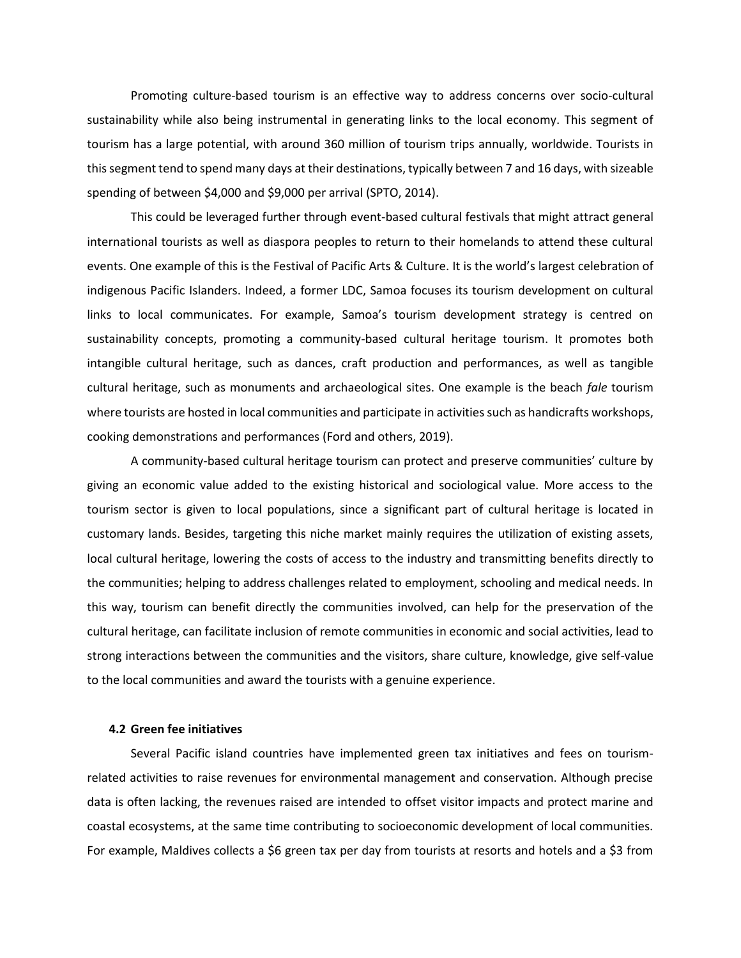Promoting culture-based tourism is an effective way to address concerns over socio-cultural sustainability while also being instrumental in generating links to the local economy. This segment of tourism has a large potential, with around 360 million of tourism trips annually, worldwide. Tourists in this segment tend to spend many days at their destinations, typically between 7 and 16 days, with sizeable spending of between \$4,000 and \$9,000 per arrival (SPTO, 2014).

This could be leveraged further through event-based cultural festivals that might attract general international tourists as well as diaspora peoples to return to their homelands to attend these cultural events. One example of this is the Festival of Pacific Arts & Culture. It is the world's largest celebration of indigenous Pacific Islanders. Indeed, a former LDC, Samoa focuses its tourism development on cultural links to local communicates. For example, Samoa's tourism development strategy is centred on sustainability concepts, promoting a community-based cultural heritage tourism. It promotes both intangible cultural heritage, such as dances, craft production and performances, as well as tangible cultural heritage, such as monuments and archaeological sites. One example is the beach *fale* tourism where tourists are hosted in local communities and participate in activities such as handicrafts workshops, cooking demonstrations and performances (Ford and others, 2019).

A community-based cultural heritage tourism can protect and preserve communities' culture by giving an economic value added to the existing historical and sociological value. More access to the tourism sector is given to local populations, since a significant part of cultural heritage is located in customary lands. Besides, targeting this niche market mainly requires the utilization of existing assets, local cultural heritage, lowering the costs of access to the industry and transmitting benefits directly to the communities; helping to address challenges related to employment, schooling and medical needs. In this way, tourism can benefit directly the communities involved, can help for the preservation of the cultural heritage, can facilitate inclusion of remote communities in economic and social activities, lead to strong interactions between the communities and the visitors, share culture, knowledge, give self-value to the local communities and award the tourists with a genuine experience.

## **4.2 Green fee initiatives**

Several Pacific island countries have implemented green tax initiatives and fees on tourismrelated activities to raise revenues for environmental management and conservation. Although precise data is often lacking, the revenues raised are intended to offset visitor impacts and protect marine and coastal ecosystems, at the same time contributing to socioeconomic development of local communities. For example, Maldives collects a \$6 green tax per day from tourists at resorts and hotels and a \$3 from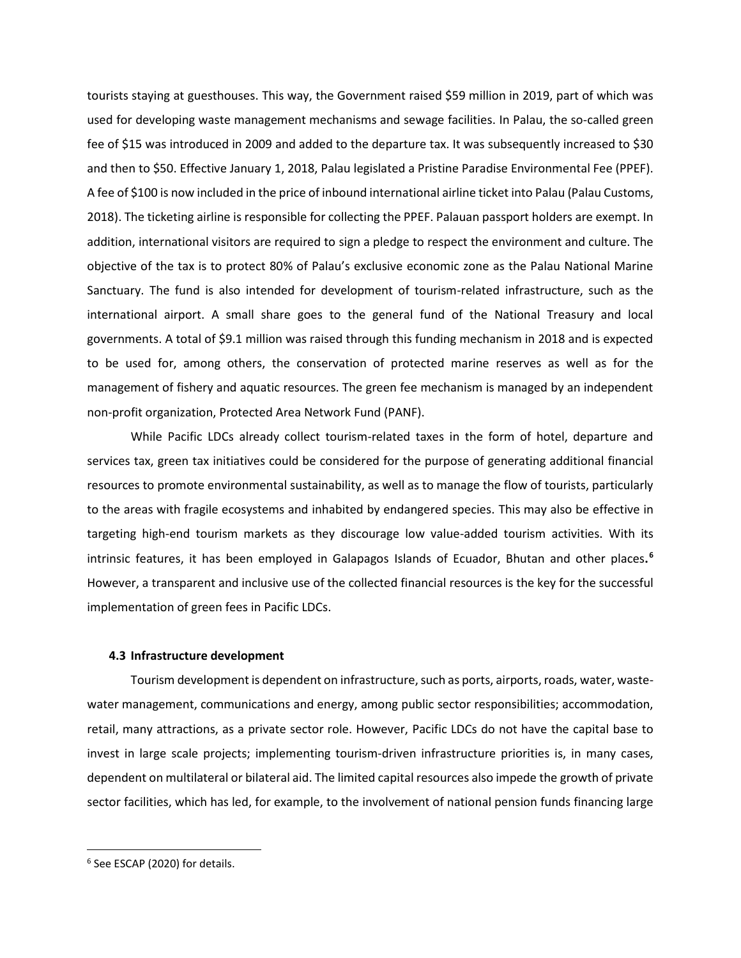tourists staying at guesthouses. This way, the Government raised \$59 million in 2019, part of which was used for developing waste management mechanisms and sewage facilities. In Palau, the so-called green fee of \$15 was introduced in 2009 and added to the departure tax. It was subsequently increased to \$30 and then to \$50. Effective January 1, 2018, Palau legislated a Pristine Paradise Environmental Fee (PPEF). A fee of \$100 is now included in the price of inbound international airline ticket into Palau (Palau Customs, 2018). The ticketing airline is responsible for collecting the PPEF. Palauan passport holders are exempt. In addition, international visitors are required to sign a pledge to respect the environment and culture. The objective of the tax is to protect 80% of Palau's exclusive economic zone as the Palau National Marine Sanctuary. The fund is also intended for development of tourism-related infrastructure, such as the international airport. A small share goes to the general fund of the National Treasury and local governments. A total of \$9.1 million was raised through this funding mechanism in 2018 and is expected to be used for, among others, the conservation of protected marine reserves as well as for the management of fishery and aquatic resources. The green fee mechanism is managed by an independent non-profit organization, Protected Area Network Fund (PANF).

While Pacific LDCs already collect tourism-related taxes in the form of hotel, departure and services tax, green tax initiatives could be considered for the purpose of generating additional financial resources to promote environmental sustainability, as well as to manage the flow of tourists, particularly to the areas with fragile ecosystems and inhabited by endangered species. This may also be effective in targeting high-end tourism markets as they discourage low value-added tourism activities. With its intrinsic features, it has been employed in Galapagos Islands of Ecuador, Bhutan and other places**. 6** However, a transparent and inclusive use of the collected financial resources is the key for the successful implementation of green fees in Pacific LDCs.

### **4.3 Infrastructure development**

Tourism development is dependent on infrastructure, such as ports, airports, roads, water, wastewater management, communications and energy, among public sector responsibilities; accommodation, retail, many attractions, as a private sector role. However, Pacific LDCs do not have the capital base to invest in large scale projects; implementing tourism-driven infrastructure priorities is, in many cases, dependent on multilateral or bilateral aid. The limited capital resources also impede the growth of private sector facilities, which has led, for example, to the involvement of national pension funds financing large

<sup>6</sup> See ESCAP (2020) for details.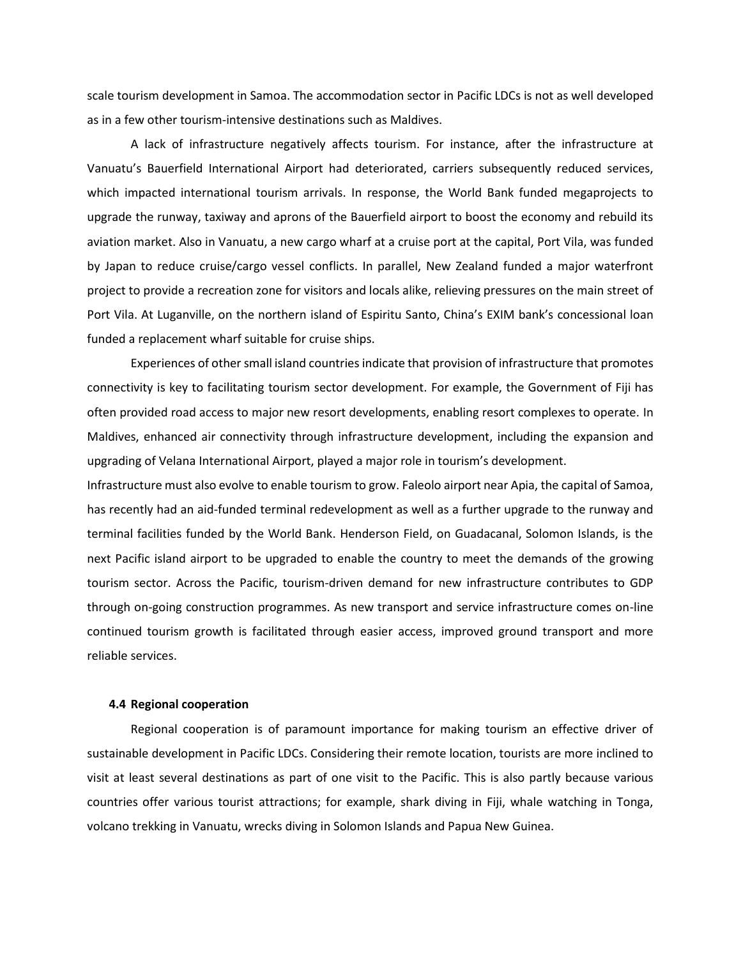scale tourism development in Samoa. The accommodation sector in Pacific LDCs is not as well developed as in a few other tourism-intensive destinations such as Maldives.

A lack of infrastructure negatively affects tourism. For instance, after the infrastructure at Vanuatu's Bauerfield International Airport had deteriorated, carriers subsequently reduced services, which impacted international tourism arrivals. In response, the World Bank funded megaprojects to upgrade the runway, taxiway and aprons of the Bauerfield airport to boost the economy and rebuild its aviation market. Also in Vanuatu, a new cargo wharf at a cruise port at the capital, Port Vila, was funded by Japan to reduce cruise/cargo vessel conflicts. In parallel, New Zealand funded a major waterfront project to provide a recreation zone for visitors and locals alike, relieving pressures on the main street of Port Vila. At Luganville, on the northern island of Espiritu Santo, China's EXIM bank's concessional loan funded a replacement wharf suitable for cruise ships.

Experiences of other small island countries indicate that provision of infrastructure that promotes connectivity is key to facilitating tourism sector development. For example, the Government of Fiji has often provided road access to major new resort developments, enabling resort complexes to operate. In Maldives, enhanced air connectivity through infrastructure development, including the expansion and upgrading of Velana International Airport, played a major role in tourism's development.

Infrastructure must also evolve to enable tourism to grow. Faleolo airport near Apia, the capital of Samoa, has recently had an aid-funded terminal redevelopment as well as a further upgrade to the runway and terminal facilities funded by the World Bank. Henderson Field, on Guadacanal, Solomon Islands, is the next Pacific island airport to be upgraded to enable the country to meet the demands of the growing tourism sector. Across the Pacific, tourism-driven demand for new infrastructure contributes to GDP through on-going construction programmes. As new transport and service infrastructure comes on-line continued tourism growth is facilitated through easier access, improved ground transport and more reliable services.

# **4.4 Regional cooperation**

Regional cooperation is of paramount importance for making tourism an effective driver of sustainable development in Pacific LDCs. Considering their remote location, tourists are more inclined to visit at least several destinations as part of one visit to the Pacific. This is also partly because various countries offer various tourist attractions; for example, shark diving in Fiji, whale watching in Tonga, volcano trekking in Vanuatu, wrecks diving in Solomon Islands and Papua New Guinea.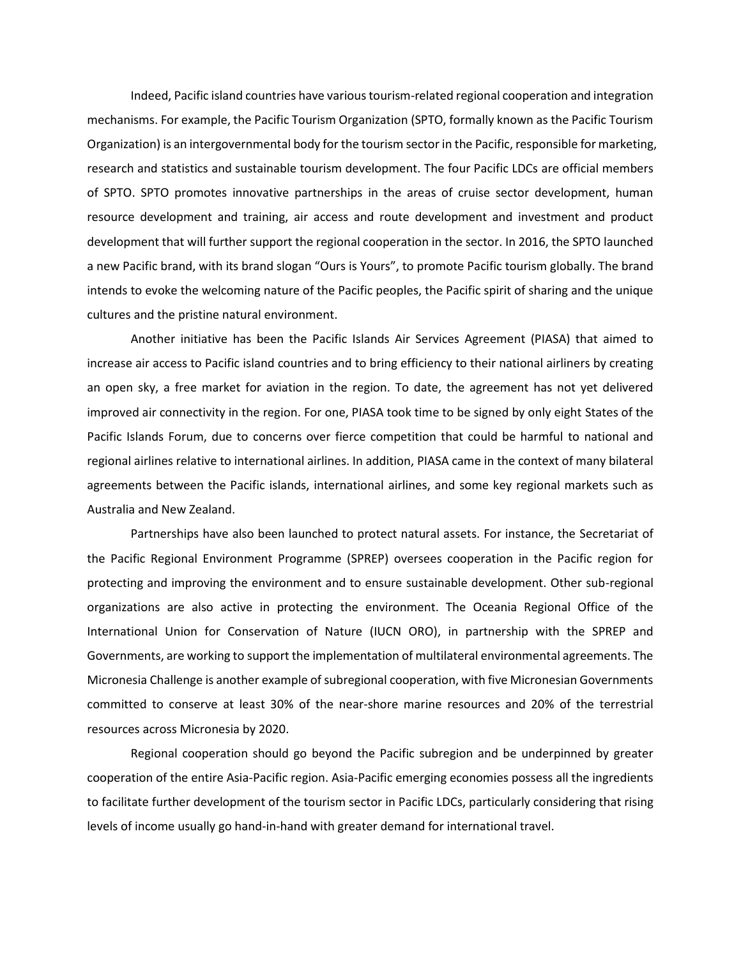Indeed, Pacific island countries have various tourism-related regional cooperation and integration mechanisms. For example, the Pacific Tourism Organization (SPTO, formally known as the Pacific Tourism Organization) is an intergovernmental body for the tourism sector in the Pacific, responsible for marketing, research and statistics and sustainable tourism development. The four Pacific LDCs are official members of SPTO. SPTO promotes innovative partnerships in the areas of cruise sector development, human resource development and training, air access and route development and investment and product development that will further support the regional cooperation in the sector. In 2016, the SPTO launched a new Pacific brand, with its brand slogan "Ours is Yours", to promote Pacific tourism globally. The brand intends to evoke the welcoming nature of the Pacific peoples, the Pacific spirit of sharing and the unique cultures and the pristine natural environment.

Another initiative has been the Pacific Islands Air Services Agreement (PIASA) that aimed to increase air access to Pacific island countries and to bring efficiency to their national airliners by creating an open sky, a free market for aviation in the region. To date, the agreement has not yet delivered improved air connectivity in the region. For one, PIASA took time to be signed by only eight States of the Pacific Islands Forum, due to concerns over fierce competition that could be harmful to national and regional airlines relative to international airlines. In addition, PIASA came in the context of many bilateral agreements between the Pacific islands, international airlines, and some key regional markets such as Australia and New Zealand.

Partnerships have also been launched to protect natural assets. For instance, the Secretariat of the Pacific Regional Environment Programme (SPREP) oversees cooperation in the Pacific region for protecting and improving the environment and to ensure sustainable development. Other sub-regional organizations are also active in protecting the environment. The Oceania Regional Office of the International Union for Conservation of Nature (IUCN ORO), in partnership with the SPREP and Governments, are working to support the implementation of multilateral environmental agreements. The Micronesia Challenge is another example of subregional cooperation, with five Micronesian Governments committed to conserve at least 30% of the near-shore marine resources and 20% of the terrestrial resources across Micronesia by 2020.

Regional cooperation should go beyond the Pacific subregion and be underpinned by greater cooperation of the entire Asia-Pacific region. Asia-Pacific emerging economies possess all the ingredients to facilitate further development of the tourism sector in Pacific LDCs, particularly considering that rising levels of income usually go hand-in-hand with greater demand for international travel.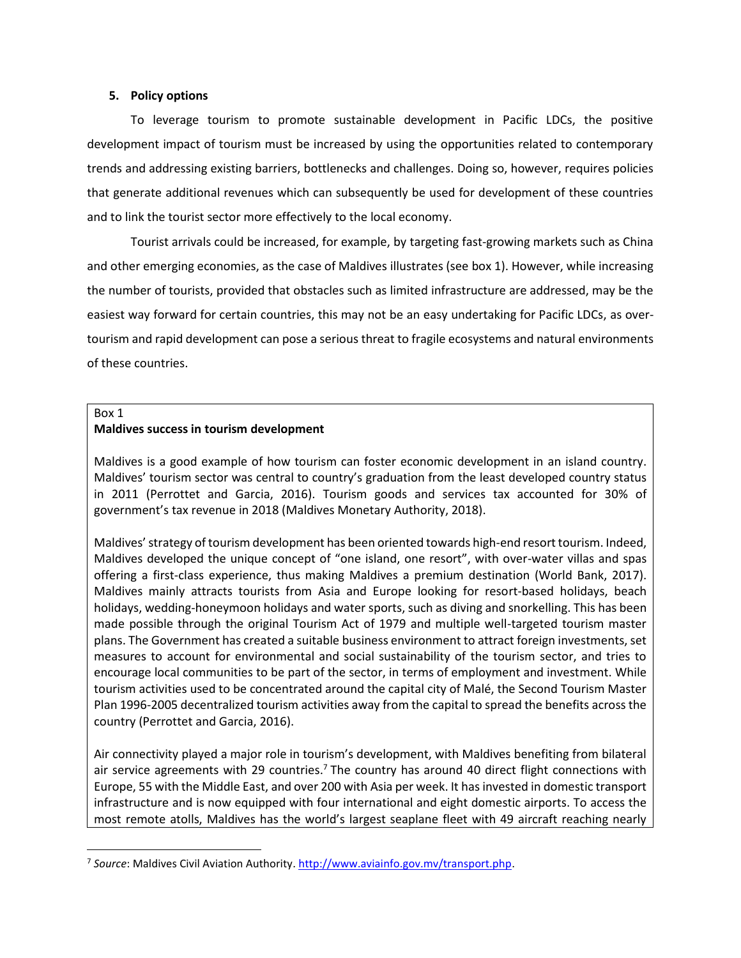## **5. Policy options**

To leverage tourism to promote sustainable development in Pacific LDCs, the positive development impact of tourism must be increased by using the opportunities related to contemporary trends and addressing existing barriers, bottlenecks and challenges. Doing so, however, requires policies that generate additional revenues which can subsequently be used for development of these countries and to link the tourist sector more effectively to the local economy.

Tourist arrivals could be increased, for example, by targeting fast-growing markets such as China and other emerging economies, as the case of Maldives illustrates (see box 1). However, while increasing the number of tourists, provided that obstacles such as limited infrastructure are addressed, may be the easiest way forward for certain countries, this may not be an easy undertaking for Pacific LDCs, as overtourism and rapid development can pose a serious threat to fragile ecosystems and natural environments of these countries.

## Box 1

# **Maldives success in tourism development**

Maldives is a good example of how tourism can foster economic development in an island country. Maldives' tourism sector was central to country's graduation from the least developed country status in 2011 (Perrottet and Garcia, 2016). Tourism goods and services tax accounted for 30% of government's tax revenue in 2018 (Maldives Monetary Authority, 2018).

Maldives' strategy of tourism development has been oriented towards high-end resort tourism. Indeed, Maldives developed the unique concept of "one island, one resort", with over-water villas and spas offering a first-class experience, thus making Maldives a premium destination (World Bank, 2017). Maldives mainly attracts tourists from Asia and Europe looking for resort-based holidays, beach holidays, wedding-honeymoon holidays and water sports, such as diving and snorkelling. This has been made possible through the original Tourism Act of 1979 and multiple well-targeted tourism master plans. The Government has created a suitable business environment to attract foreign investments, set measures to account for environmental and social sustainability of the tourism sector, and tries to encourage local communities to be part of the sector, in terms of employment and investment. While tourism activities used to be concentrated around the capital city of Malé, the Second Tourism Master Plan 1996-2005 decentralized tourism activities away from the capital to spread the benefits across the country (Perrottet and Garcia, 2016).

Air connectivity played a major role in tourism's development, with Maldives benefiting from bilateral air service agreements with 29 countries.<sup>7</sup> The country has around 40 direct flight connections with Europe, 55 with the Middle East, and over 200 with Asia per week. It has invested in domestic transport infrastructure and is now equipped with four international and eight domestic airports. To access the most remote atolls, Maldives has the world's largest seaplane fleet with 49 aircraft reaching nearly

<sup>7</sup> *Source*: Maldives Civil Aviation Authority[. http://www.aviainfo.gov.mv/transport.php.](http://www.aviainfo.gov.mv/transport.php)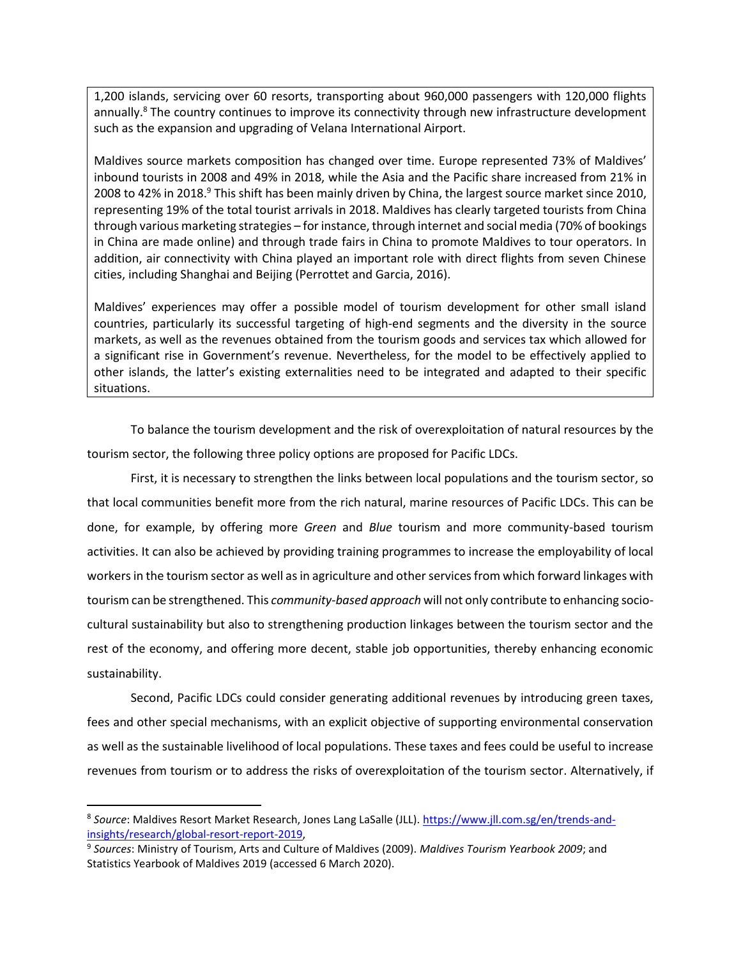1,200 islands, servicing over 60 resorts, transporting about 960,000 passengers with 120,000 flights annually.<sup>8</sup> The country continues to improve its connectivity through new infrastructure development such as the expansion and upgrading of Velana International Airport.

Maldives source markets composition has changed over time. Europe represented 73% of Maldives' inbound tourists in 2008 and 49% in 2018, while the Asia and the Pacific share increased from 21% in 2008 to 42% in 2018.<sup>9</sup> This shift has been mainly driven by China, the largest source market since 2010, representing 19% of the total tourist arrivals in 2018. Maldives has clearly targeted tourists from China through various marketing strategies – for instance, through internet and social media (70% of bookings in China are made online) and through trade fairs in China to promote Maldives to tour operators. In addition, air connectivity with China played an important role with direct flights from seven Chinese cities, including Shanghai and Beijing (Perrottet and Garcia, 2016).

Maldives' experiences may offer a possible model of tourism development for other small island countries, particularly its successful targeting of high-end segments and the diversity in the source markets, as well as the revenues obtained from the tourism goods and services tax which allowed for a significant rise in Government's revenue. Nevertheless, for the model to be effectively applied to other islands, the latter's existing externalities need to be integrated and adapted to their specific situations.

To balance the tourism development and the risk of overexploitation of natural resources by the tourism sector, the following three policy options are proposed for Pacific LDCs.

First, it is necessary to strengthen the links between local populations and the tourism sector, so that local communities benefit more from the rich natural, marine resources of Pacific LDCs. This can be done, for example, by offering more *Green* and *Blue* tourism and more community-based tourism activities. It can also be achieved by providing training programmes to increase the employability of local workers in the tourism sector as well as in agriculture and other services from which forward linkages with tourism can be strengthened. This *community-based approach* will not only contribute to enhancing sociocultural sustainability but also to strengthening production linkages between the tourism sector and the rest of the economy, and offering more decent, stable job opportunities, thereby enhancing economic sustainability.

Second, Pacific LDCs could consider generating additional revenues by introducing green taxes, fees and other special mechanisms, with an explicit objective of supporting environmental conservation as well as the sustainable livelihood of local populations. These taxes and fees could be useful to increase revenues from tourism or to address the risks of overexploitation of the tourism sector. Alternatively, if

<sup>&</sup>lt;sup>8</sup> So*urce*: Maldives Resort Market Research, Jones Lang LaSalle (JLL). <u>https://www.jll.com.sg/en/trends-and-</u> [insights/research/global-resort-report-2019,](https://www.jll.com.sg/en/trends-and-insights/research/global-resort-report-2019)

<sup>9</sup> *Sources*: Ministry of Tourism, Arts and Culture of Maldives (2009). *Maldives Tourism Yearbook 2009*; and Statistics Yearbook of Maldives 2019 (accessed 6 March 2020).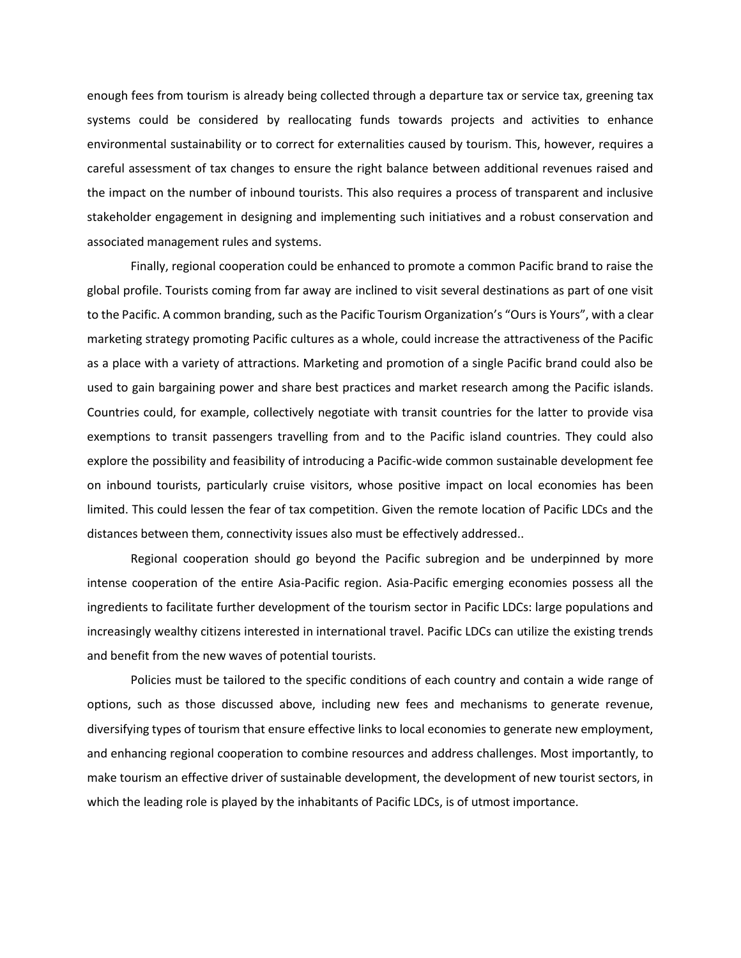enough fees from tourism is already being collected through a departure tax or service tax, greening tax systems could be considered by reallocating funds towards projects and activities to enhance environmental sustainability or to correct for externalities caused by tourism. This, however, requires a careful assessment of tax changes to ensure the right balance between additional revenues raised and the impact on the number of inbound tourists. This also requires a process of transparent and inclusive stakeholder engagement in designing and implementing such initiatives and a robust conservation and associated management rules and systems.

Finally, regional cooperation could be enhanced to promote a common Pacific brand to raise the global profile. Tourists coming from far away are inclined to visit several destinations as part of one visit to the Pacific. A common branding, such as the Pacific Tourism Organization's "Ours is Yours", with a clear marketing strategy promoting Pacific cultures as a whole, could increase the attractiveness of the Pacific as a place with a variety of attractions. Marketing and promotion of a single Pacific brand could also be used to gain bargaining power and share best practices and market research among the Pacific islands. Countries could, for example, collectively negotiate with transit countries for the latter to provide visa exemptions to transit passengers travelling from and to the Pacific island countries. They could also explore the possibility and feasibility of introducing a Pacific-wide common sustainable development fee on inbound tourists, particularly cruise visitors, whose positive impact on local economies has been limited. This could lessen the fear of tax competition. Given the remote location of Pacific LDCs and the distances between them, connectivity issues also must be effectively addressed..

Regional cooperation should go beyond the Pacific subregion and be underpinned by more intense cooperation of the entire Asia-Pacific region. Asia-Pacific emerging economies possess all the ingredients to facilitate further development of the tourism sector in Pacific LDCs: large populations and increasingly wealthy citizens interested in international travel. Pacific LDCs can utilize the existing trends and benefit from the new waves of potential tourists.

Policies must be tailored to the specific conditions of each country and contain a wide range of options, such as those discussed above, including new fees and mechanisms to generate revenue, diversifying types of tourism that ensure effective links to local economies to generate new employment, and enhancing regional cooperation to combine resources and address challenges. Most importantly, to make tourism an effective driver of sustainable development, the development of new tourist sectors, in which the leading role is played by the inhabitants of Pacific LDCs, is of utmost importance.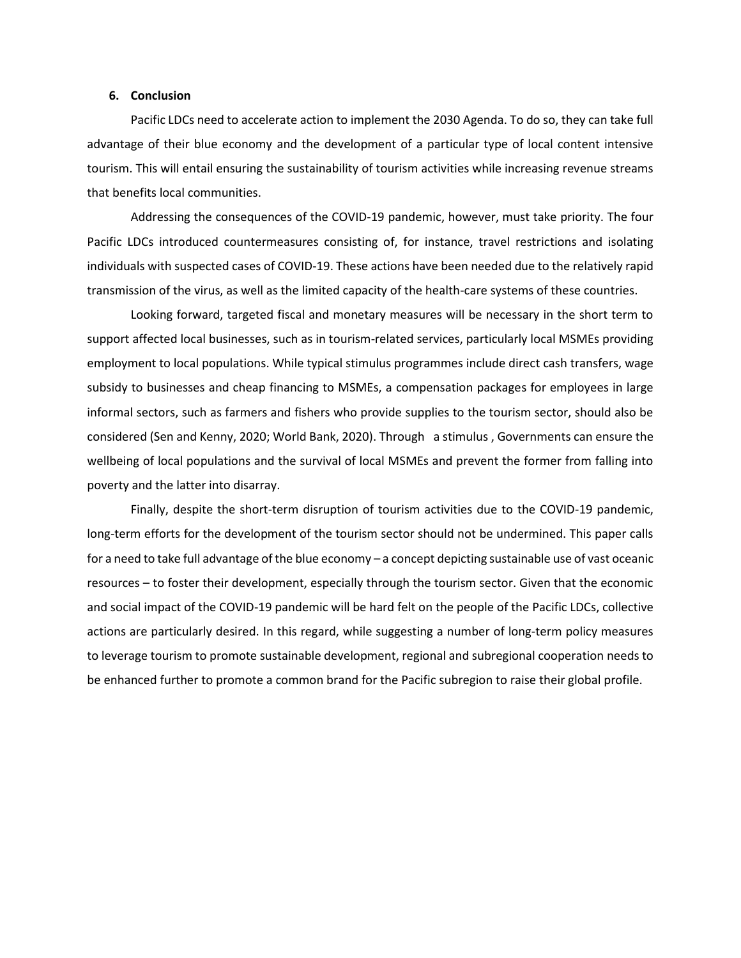## **6. Conclusion**

Pacific LDCs need to accelerate action to implement the 2030 Agenda. To do so, they can take full advantage of their blue economy and the development of a particular type of local content intensive tourism. This will entail ensuring the sustainability of tourism activities while increasing revenue streams that benefits local communities.

Addressing the consequences of the COVID-19 pandemic, however, must take priority. The four Pacific LDCs introduced countermeasures consisting of, for instance, travel restrictions and isolating individuals with suspected cases of COVID-19. These actions have been needed due to the relatively rapid transmission of the virus, as well as the limited capacity of the health-care systems of these countries.

Looking forward, targeted fiscal and monetary measures will be necessary in the short term to support affected local businesses, such as in tourism-related services, particularly local MSMEs providing employment to local populations. While typical stimulus programmes include direct cash transfers, wage subsidy to businesses and cheap financing to MSMEs, a compensation packages for employees in large informal sectors, such as farmers and fishers who provide supplies to the tourism sector, should also be considered (Sen and Kenny, 2020; World Bank, 2020). Through a stimulus , Governments can ensure the wellbeing of local populations and the survival of local MSMEs and prevent the former from falling into poverty and the latter into disarray.

Finally, despite the short-term disruption of tourism activities due to the COVID-19 pandemic, long-term efforts for the development of the tourism sector should not be undermined. This paper calls for a need to take full advantage of the blue economy – a concept depicting sustainable use of vast oceanic resources – to foster their development, especially through the tourism sector. Given that the economic and social impact of the COVID-19 pandemic will be hard felt on the people of the Pacific LDCs, collective actions are particularly desired. In this regard, while suggesting a number of long-term policy measures to leverage tourism to promote sustainable development, regional and subregional cooperation needs to be enhanced further to promote a common brand for the Pacific subregion to raise their global profile.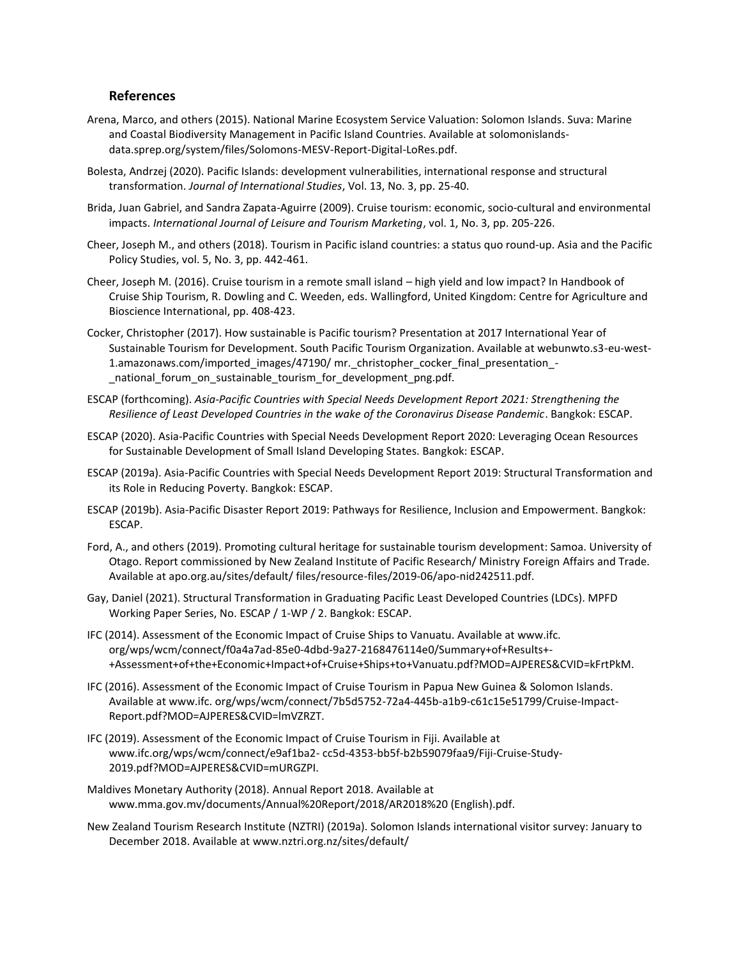# **References**

- Arena, Marco, and others (2015). National Marine Ecosystem Service Valuation: Solomon Islands. Suva: Marine and Coastal Biodiversity Management in Pacific Island Countries. Available at [solomonislands](https://solomonislands-data.sprep.org/system/files/Solomons-MESV-Report-Digital-LoRes.pdf)[data.sprep.org/system/files/Solomons-MESV-Report-Digital-LoRes.pdf.](https://solomonislands-data.sprep.org/system/files/Solomons-MESV-Report-Digital-LoRes.pdf)
- Bolesta, Andrzej (2020). Pacific Islands: development vulnerabilities, international response and structural transformation. *Journal of International Studies*, Vol. 13, No. 3, pp. 25-40.
- Brida, Juan Gabriel, and Sandra Zapata-Aguirre (2009). Cruise tourism: economic, socio-cultural and environmental impacts. *International Journal of Leisure and Tourism Marketing*, vol. 1, No. 3, pp. 205-226.
- Cheer, Joseph M., and others (2018). Tourism in Pacific island countries: a status quo round‐up. Asia and the Pacific Policy Studies, vol. 5, No. 3, pp. 442-461.
- Cheer, Joseph M. (2016). Cruise tourism in a remote small island high yield and low impact? In Handbook of Cruise Ship Tourism, R. Dowling and C. Weeden, eds. Wallingford, United Kingdom: Centre for Agriculture and Bioscience International, pp. 408-423.
- Cocker, Christopher (2017). How sustainable is Pacific tourism? Presentation at 2017 International Year of Sustainable Tourism for Development. South Pacific Tourism Organization. Available at webunwto.s3-eu-west-1.amazonaws.com/imported\_images/47190/ mr.\_christopher\_cocker\_final\_presentation\_- \_national\_forum\_on\_sustainable\_tourism\_for\_development\_png.pdf.
- ESCAP (forthcoming). *Asia-Pacific Countries with Special Needs Development Report 2021: Strengthening the Resilience of Least Developed Countries in the wake of the Coronavirus Disease Pandemic*. Bangkok: ESCAP.
- ESCAP (2020). Asia-Pacific Countries with Special Needs Development Report 2020: Leveraging Ocean Resources for Sustainable Development of Small Island Developing States. Bangkok: ESCAP.
- ESCAP (2019a). Asia-Pacific Countries with Special Needs Development Report 2019: Structural Transformation and its Role in Reducing Poverty. Bangkok: ESCAP.
- ESCAP (2019b). Asia-Pacific Disaster Report 2019: Pathways for Resilience, Inclusion and Empowerment. Bangkok: ESCAP.
- Ford, A., and others (2019). Promoting cultural heritage for sustainable tourism development: Samoa. University of Otago. Report commissioned by New Zealand Institute of Pacific Research/ Ministry Foreign Affairs and Trade. Available at apo.org.au/sites/default/ files/resource-files/2019-06/apo-nid242511.pdf.
- Gay, Daniel (2021). Structural Transformation in Graduating Pacific Least Developed Countries (LDCs). MPFD Working Paper Series, No. ESCAP / 1-WP / 2. Bangkok: ESCAP.
- IFC (2014). Assessment of the Economic Impact of Cruise Ships to Vanuatu. Available at www.ifc. org/wps/wcm/connect/f0a4a7ad-85e0-4dbd-9a27-2168476114e0/Summary+of+Results+- +Assessment+of+the+Economic+Impact+of+Cruise+Ships+to+Vanuatu.pdf?MOD=AJPERES&CVID=kFrtPkM.
- IFC (2016). Assessment of the Economic Impact of Cruise Tourism in Papua New Guinea & Solomon Islands. Available at www.ifc. org/wps/wcm/connect/7b5d5752-72a4-445b-a1b9-c61c15e51799/Cruise-Impact-Report.pdf?MOD=AJPERES&CVID=lmVZRZT.
- IFC (2019). Assessment of the Economic Impact of Cruise Tourism in Fiji. Available at www.ifc.org/wps/wcm/connect/e9af1ba2- cc5d-4353-bb5f-b2b59079faa9/Fiji-Cruise-Study-2019.pdf?MOD=AJPERES&CVID=mURGZPI.
- Maldives Monetary Authority (2018). Annual Report 2018. Available at www.mma.gov.mv/documents/Annual%20Report/2018/AR2018%20 (English).pdf.
- New Zealand Tourism Research Institute (NZTRI) (2019a). Solomon Islands international visitor survey: January to December 2018. Available at www.nztri.org.nz/sites/default/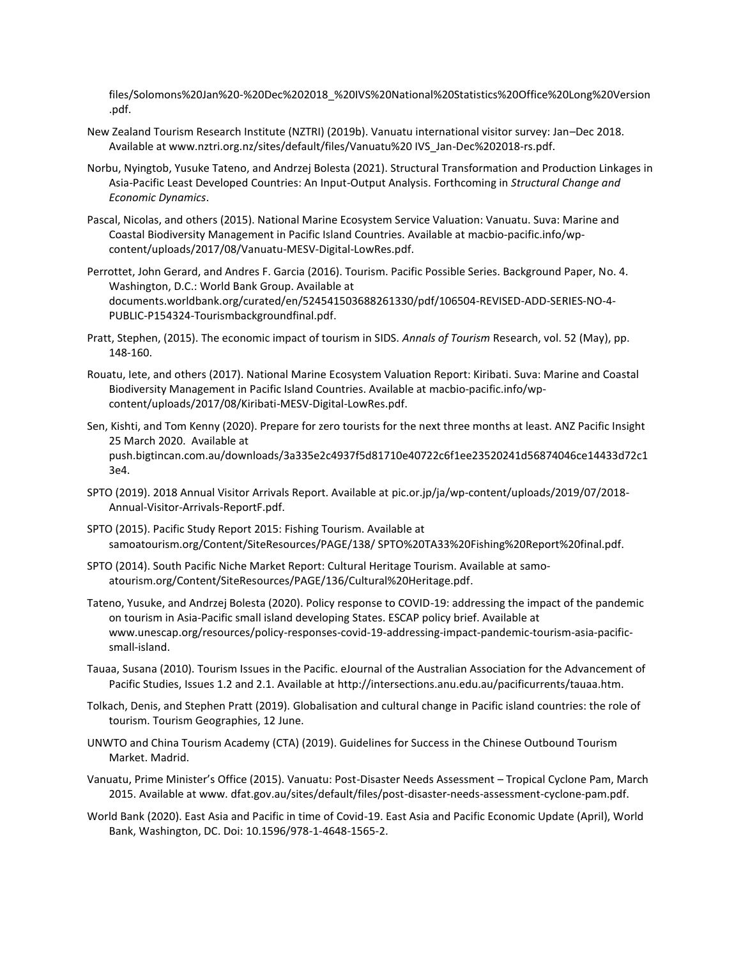files/Solomons%20Jan%20-%20Dec%202018\_%20IVS%20National%20Statistics%20Office%20Long%20Version .pdf.

- New Zealand Tourism Research Institute (NZTRI) (2019b). Vanuatu international visitor survey: Jan–Dec 2018. Available at www.nztri.org.nz/sites/default/files/Vanuatu%20 IVS\_Jan-Dec%202018-rs.pdf.
- Norbu, Nyingtob, Yusuke Tateno, and Andrzej Bolesta (2021). Structural Transformation and Production Linkages in Asia-Pacific Least Developed Countries: An Input-Output Analysis. Forthcoming in *Structural Change and Economic Dynamics*.
- Pascal, Nicolas, and others (2015). National Marine Ecosystem Service Valuation: Vanuatu. Suva: Marine and Coastal Biodiversity Management in Pacific Island Countries. Available at [macbio-pacific.info/wp](http://macbio-pacific.info/wp-content/uploads/2017/08/Vanuatu-MESV-Digital-LowRes.pdf)[content/uploads/2017/08/Vanuatu-MESV-Digital-LowRes.pdf.](http://macbio-pacific.info/wp-content/uploads/2017/08/Vanuatu-MESV-Digital-LowRes.pdf)
- Perrottet, John Gerard, and Andres F. Garcia (2016). Tourism. Pacific Possible Series. Background Paper, No. 4. Washington, D.C.: World Bank Group. Available at [documents.worldbank.org/curated/en/524541503688261330/pdf/106504-REVISED-ADD-SERIES-NO-4-](http://documents.worldbank.org/curated/en/524541503688261330/pdf/106504-REVISED-ADD-SERIES-NO-4-PUBLIC-P154324-Tourismbackgroundfinal.pdf) [PUBLIC-P154324-Tourismbackgroundfinal.pdf.](http://documents.worldbank.org/curated/en/524541503688261330/pdf/106504-REVISED-ADD-SERIES-NO-4-PUBLIC-P154324-Tourismbackgroundfinal.pdf)
- Pratt, Stephen, (2015). The economic impact of tourism in SIDS. *Annals of Tourism* Research, vol. 52 (May), pp. 148-160.
- Rouatu, Iete, and others (2017). National Marine Ecosystem Valuation Report: Kiribati. Suva: Marine and Coastal Biodiversity Management in Pacific Island Countries. Available at [macbio-pacific.info/wp](http://macbio-pacific.info/wp-content/uploads/2017/08/Kiribati-MESV-Digital-LowRes.pdf)[content/uploads/2017/08/Kiribati-MESV-Digital-LowRes.pdf.](http://macbio-pacific.info/wp-content/uploads/2017/08/Kiribati-MESV-Digital-LowRes.pdf)
- Sen, Kishti, and Tom Kenny (2020). Prepare for zero tourists for the next three months at least. ANZ Pacific Insight 25 March 2020. Available at [push.bigtincan.com.au/downloads/3a335e2c4937f5d81710e40722c6f1ee23520241d56874046ce14433d72c1](https://push.bigtincan.com.au/downloads/3a335e2c4937f5d81710e40722c6f1ee23520241d56874046ce14433d72c13e4) [3e4.](https://push.bigtincan.com.au/downloads/3a335e2c4937f5d81710e40722c6f1ee23520241d56874046ce14433d72c13e4)
- SPTO (2019). 2018 Annual Visitor Arrivals Report. Available a[t pic.or.jp/ja/wp-content/uploads/2019/07/2018-](https://pic.or.jp/ja/wp-content/uploads/2019/07/2018-Annual-Visitor-Arrivals-ReportF.pdf) [Annual-Visitor-Arrivals-ReportF.pdf.](https://pic.or.jp/ja/wp-content/uploads/2019/07/2018-Annual-Visitor-Arrivals-ReportF.pdf)
- SPTO (2015). Pacific Study Report 2015: Fishing Tourism. Available at samoatourism.org/Content/SiteResources/PAGE/138/ SPTO%20TA33%20Fishing%20Report%20final.pdf.
- SPTO (2014). South Pacific Niche Market Report: Cultural Heritage Tourism. Available at [samo](http://samoatourism.org/Content/SiteResources/PAGE/136/Cultural%20Heritage.pdf)[atourism.org/Content/SiteResources/PAGE/136/Cultural%20Heritage.pdf.](http://samoatourism.org/Content/SiteResources/PAGE/136/Cultural%20Heritage.pdf)
- Tateno, Yusuke, and Andrzej Bolesta (2020). Policy response to COVID-19: addressing the impact of the pandemic on tourism in Asia-Pacific small island developing States. ESCAP policy brief. Available at [www.unescap.org/resources/policy-responses-covid-19-addressing-impact-pandemic-tourism-asia-pacific](http://www.unescap.org/resources/policy-responses-covid-19-addressing-impact-pandemic-tourism-asia-pacific-small-island)[small-island.](http://www.unescap.org/resources/policy-responses-covid-19-addressing-impact-pandemic-tourism-asia-pacific-small-island)
- Tauaa, Susana (2010). Tourism Issues in the Pacific. eJournal of the Australian Association for the Advancement of Pacific Studies, Issues 1.2 and 2.1. Available at [http://intersections.anu.edu.au/pacificurrents/tauaa.htm.](http://intersections.anu.edu.au/pacificurrents/tauaa.htm)
- Tolkach, Denis, and Stephen Pratt (2019). Globalisation and cultural change in Pacific island countries: the role of tourism. Tourism Geographies, 12 June.
- UNWTO and China Tourism Academy (CTA) (2019). Guidelines for Success in the Chinese Outbound Tourism Market. Madrid.
- Vanuatu, Prime Minister's Office (2015). Vanuatu: Post-Disaster Needs Assessment Tropical Cyclone Pam, March 2015. Available at www. dfat.gov.au/sites/default/files/post-disaster-needs-assessment-cyclone-pam.pdf.
- World Bank (2020). East Asia and Pacific in time of Covid-19. East Asia and Pacific Economic Update (April), World Bank, Washington, DC. Doi: 10.1596/978-1-4648-1565-2.